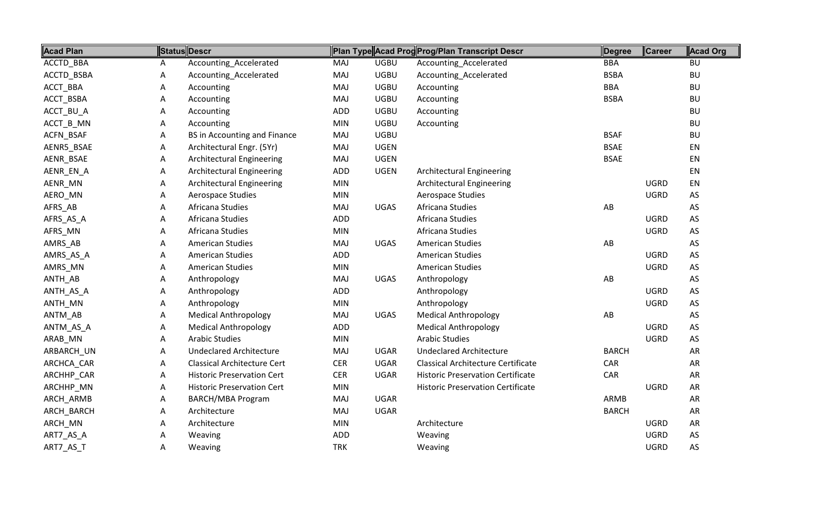| <b>Acad Plan</b> |   | <b>Status Descr</b>                |            |             | Plan Type Acad Prog Prog/Plan Transcript Descr | Degree       | Career      | <b>Acad Org</b> |
|------------------|---|------------------------------------|------------|-------------|------------------------------------------------|--------------|-------------|-----------------|
| ACCTD_BBA        | A | Accounting_Accelerated             | MAJ        | <b>UGBU</b> | Accounting_Accelerated                         | <b>BBA</b>   |             | <b>BU</b>       |
| ACCTD_BSBA       | Α | Accounting_Accelerated             | MAJ        | <b>UGBU</b> | Accounting_Accelerated                         | <b>BSBA</b>  |             | <b>BU</b>       |
| ACCT_BBA         | Α | Accounting                         | <b>MAJ</b> | <b>UGBU</b> | Accounting                                     | <b>BBA</b>   |             | <b>BU</b>       |
| ACCT_BSBA        | Α | Accounting                         | MAJ        | <b>UGBU</b> | Accounting                                     | <b>BSBA</b>  |             | <b>BU</b>       |
| ACCT_BU_A        | Α | Accounting                         | ADD        | <b>UGBU</b> | Accounting                                     |              |             | <b>BU</b>       |
| ACCT_B_MN        | Α | Accounting                         | <b>MIN</b> | <b>UGBU</b> | Accounting                                     |              |             | <b>BU</b>       |
| ACFN_BSAF        | Α | BS in Accounting and Finance       | MAJ        | <b>UGBU</b> |                                                | <b>BSAF</b>  |             | <b>BU</b>       |
| AENR5_BSAE       | Α | Architectural Engr. (5Yr)          | MAJ        | <b>UGEN</b> |                                                | <b>BSAE</b>  |             | EN              |
| AENR_BSAE        | Α | <b>Architectural Engineering</b>   | MAJ        | <b>UGEN</b> |                                                | <b>BSAE</b>  |             | EN              |
| AENR_EN_A        | Α | <b>Architectural Engineering</b>   | ADD        | <b>UGEN</b> | <b>Architectural Engineering</b>               |              |             | EN              |
| AENR_MN          | Α | <b>Architectural Engineering</b>   | <b>MIN</b> |             | <b>Architectural Engineering</b>               |              | <b>UGRD</b> | EN              |
| AERO_MN          | Α | Aerospace Studies                  | <b>MIN</b> |             | Aerospace Studies                              |              | <b>UGRD</b> | AS              |
| AFRS_AB          | Α | Africana Studies                   | MAJ        | <b>UGAS</b> | Africana Studies                               | AB           |             | AS              |
| AFRS_AS_A        | Α | Africana Studies                   | ADD        |             | Africana Studies                               |              | <b>UGRD</b> | $\mathsf{AS}$   |
| AFRS_MN          | Α | Africana Studies                   | <b>MIN</b> |             | Africana Studies                               |              | <b>UGRD</b> | AS              |
| AMRS_AB          | Α | <b>American Studies</b>            | <b>MAJ</b> | <b>UGAS</b> | <b>American Studies</b>                        | AB           |             | AS              |
| AMRS_AS_A        | Α | <b>American Studies</b>            | ADD        |             | <b>American Studies</b>                        |              | <b>UGRD</b> | AS              |
| AMRS_MN          | Α | <b>American Studies</b>            | <b>MIN</b> |             | <b>American Studies</b>                        |              | <b>UGRD</b> | AS              |
| ANTH_AB          | Α | Anthropology                       | MAJ        | <b>UGAS</b> | Anthropology                                   | AB           |             | AS              |
| ANTH_AS_A        | Α | Anthropology                       | ADD        |             | Anthropology                                   |              | <b>UGRD</b> | AS              |
| ANTH_MN          | Α | Anthropology                       | <b>MIN</b> |             | Anthropology                                   |              | <b>UGRD</b> | $\mathsf{AS}$   |
| ANTM_AB          | Α | <b>Medical Anthropology</b>        | MAJ        | <b>UGAS</b> | <b>Medical Anthropology</b>                    | AB           |             | AS              |
| ANTM_AS_A        | А | <b>Medical Anthropology</b>        | ADD        |             | <b>Medical Anthropology</b>                    |              | <b>UGRD</b> | AS              |
| ARAB_MN          | Α | <b>Arabic Studies</b>              | <b>MIN</b> |             | <b>Arabic Studies</b>                          |              | <b>UGRD</b> | AS              |
| ARBARCH_UN       | Α | <b>Undeclared Architecture</b>     | <b>MAJ</b> | <b>UGAR</b> | <b>Undeclared Architecture</b>                 | <b>BARCH</b> |             | <b>AR</b>       |
| ARCHCA_CAR       | Α | <b>Classical Architecture Cert</b> | <b>CER</b> | <b>UGAR</b> | <b>Classical Architecture Certificate</b>      | CAR          |             | <b>AR</b>       |
| ARCHHP_CAR       | Α | <b>Historic Preservation Cert</b>  | <b>CER</b> | <b>UGAR</b> | <b>Historic Preservation Certificate</b>       | CAR          |             | <b>AR</b>       |
| ARCHHP_MN        | Α | <b>Historic Preservation Cert</b>  | <b>MIN</b> |             | <b>Historic Preservation Certificate</b>       |              | <b>UGRD</b> | <b>AR</b>       |
| ARCH_ARMB        | Α | <b>BARCH/MBA Program</b>           | MAJ        | <b>UGAR</b> |                                                | ARMB         |             | AR              |
| ARCH_BARCH       | Α | Architecture                       | MAJ        | <b>UGAR</b> |                                                | <b>BARCH</b> |             | <b>AR</b>       |
| ARCH_MN          | Α | Architecture                       | <b>MIN</b> |             | Architecture                                   |              | <b>UGRD</b> | <b>AR</b>       |
| ART7_AS_A        | Α | Weaving                            | ADD        |             | Weaving                                        |              | <b>UGRD</b> | AS              |
| ART7_AS_T        | Α | Weaving                            | <b>TRK</b> |             | Weaving                                        |              | <b>UGRD</b> | AS              |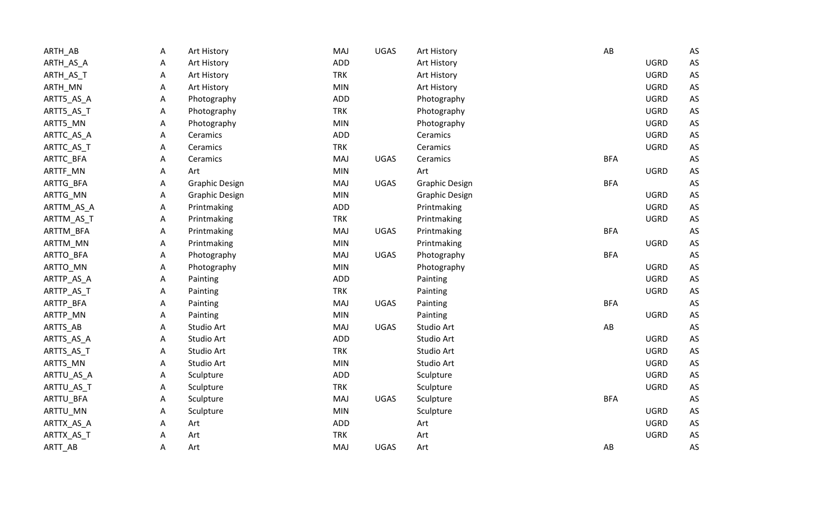| ARTH_AB    | Α | Art History           | MAJ        | <b>UGAS</b> | Art History           | AB                     |             | AS |
|------------|---|-----------------------|------------|-------------|-----------------------|------------------------|-------------|----|
| ARTH_AS_A  | A | Art History           | ADD        |             | Art History           |                        | <b>UGRD</b> | AS |
| ARTH_AS_T  | A | Art History           | <b>TRK</b> |             | Art History           |                        | <b>UGRD</b> | AS |
| ARTH_MN    | A | Art History           | <b>MIN</b> |             | Art History           |                        | <b>UGRD</b> | AS |
| ARTT5_AS_A | Α | Photography           | <b>ADD</b> |             | Photography           |                        | <b>UGRD</b> | AS |
| ARTT5_AS_T | A | Photography           | <b>TRK</b> |             | Photography           |                        | <b>UGRD</b> | AS |
| ARTT5_MN   | А | Photography           | <b>MIN</b> |             | Photography           |                        | <b>UGRD</b> | AS |
| ARTTC_AS_A | Α | Ceramics              | <b>ADD</b> |             | Ceramics              |                        | <b>UGRD</b> | AS |
| ARTTC_AS_T | Α | Ceramics              | <b>TRK</b> |             | Ceramics              |                        | <b>UGRD</b> | AS |
| ARTTC_BFA  | Α | Ceramics              | MAJ        | <b>UGAS</b> | Ceramics              | <b>BFA</b>             |             | AS |
| ARTTF_MN   | Α | Art                   | MIN        |             | Art                   |                        | <b>UGRD</b> | AS |
| ARTTG_BFA  | A | <b>Graphic Design</b> | MAJ        | <b>UGAS</b> | <b>Graphic Design</b> | <b>BFA</b>             |             | AS |
| ARTTG_MN   | Α | <b>Graphic Design</b> | MIN        |             | <b>Graphic Design</b> |                        | <b>UGRD</b> | AS |
| ARTTM_AS_A | A | Printmaking           | ADD        |             | Printmaking           |                        | <b>UGRD</b> | AS |
| ARTTM_AS_T | A | Printmaking           | <b>TRK</b> |             | Printmaking           |                        | <b>UGRD</b> | AS |
| ARTTM_BFA  | Α | Printmaking           | MAJ        | UGAS        | Printmaking           | <b>BFA</b>             |             | AS |
| ARTTM_MN   | A | Printmaking           | <b>MIN</b> |             | Printmaking           |                        | <b>UGRD</b> | AS |
| ARTTO_BFA  | Α | Photography           | MAJ        | <b>UGAS</b> | Photography           | <b>BFA</b>             |             | AS |
| ARTTO_MN   | A | Photography           | <b>MIN</b> |             | Photography           |                        | <b>UGRD</b> | AS |
| ARTTP_AS_A | A | Painting              | ADD        |             | Painting              |                        | <b>UGRD</b> | AS |
| ARTTP_AS_T | A | Painting              | <b>TRK</b> |             | Painting              |                        | <b>UGRD</b> | AS |
| ARTTP_BFA  | Α | Painting              | MAJ        | <b>UGAS</b> | Painting              | <b>BFA</b>             |             | AS |
| ARTTP_MN   | A | Painting              | <b>MIN</b> |             | Painting              |                        | <b>UGRD</b> | AS |
| ARTTS_AB   | Α | Studio Art            | MAJ        | <b>UGAS</b> | Studio Art            | $\mathsf{A}\mathsf{B}$ |             | AS |
| ARTTS_AS_A | Α | Studio Art            | ADD        |             | Studio Art            |                        | <b>UGRD</b> | AS |
| ARTTS_AS_T | Α | Studio Art            | <b>TRK</b> |             | Studio Art            |                        | <b>UGRD</b> | AS |
| ARTTS_MN   | Α | Studio Art            | <b>MIN</b> |             | Studio Art            |                        | <b>UGRD</b> | AS |
| ARTTU_AS_A | Α | Sculpture             | <b>ADD</b> |             | Sculpture             |                        | <b>UGRD</b> | AS |
| ARTTU_AS_T | Α | Sculpture             | <b>TRK</b> |             | Sculpture             |                        | <b>UGRD</b> | AS |
| ARTTU_BFA  | Α | Sculpture             | MAJ        | <b>UGAS</b> | Sculpture             | <b>BFA</b>             |             | AS |
| ARTTU_MN   | A | Sculpture             | MIN        |             | Sculpture             |                        | <b>UGRD</b> | AS |
| ARTTX_AS_A | A | Art                   | ADD        |             | Art                   |                        | <b>UGRD</b> | AS |
| ARTTX_AS_T | Α | Art                   | <b>TRK</b> |             | Art                   |                        | <b>UGRD</b> | AS |
| ARTT_AB    | А | Art                   | MAJ        | <b>UGAS</b> | Art                   | AB                     |             | AS |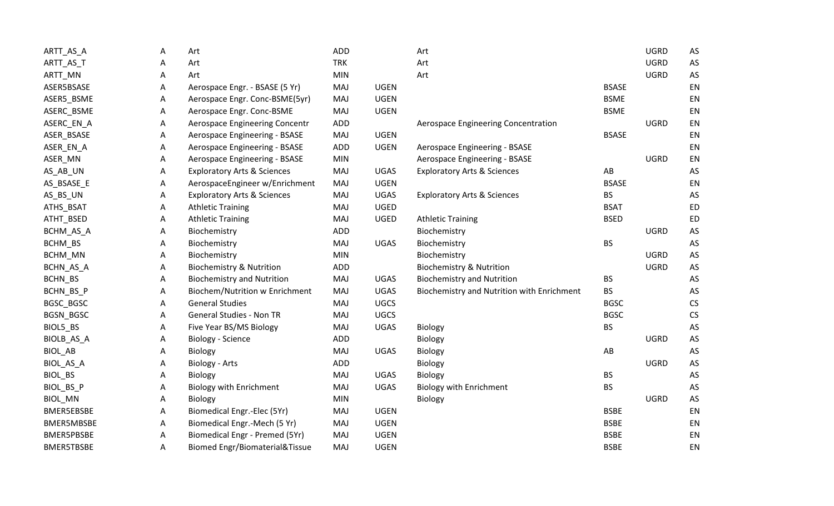| ARTT_AS_A         | Α | Art                                       | <b>ADD</b> |             | Art                                        |              | <b>UGRD</b> | AS                   |
|-------------------|---|-------------------------------------------|------------|-------------|--------------------------------------------|--------------|-------------|----------------------|
| ARTT_AS_T         | Α | Art                                       | <b>TRK</b> |             | Art                                        |              | <b>UGRD</b> | $\mathsf{AS}$        |
| ARTT_MN           | Α | Art                                       | <b>MIN</b> |             | Art                                        |              | <b>UGRD</b> | $\mathsf{AS}$        |
| ASER5BSASE        | Α | Aerospace Engr. - BSASE (5 Yr)            | MAJ        | <b>UGEN</b> |                                            | <b>BSASE</b> |             | EN                   |
| ASER5_BSME        | Α | Aerospace Engr. Conc-BSME(5yr)            | MAJ        | <b>UGEN</b> |                                            | <b>BSME</b>  |             | EN                   |
| ASERC_BSME        | Α | Aerospace Engr. Conc-BSME                 | MAJ        | <b>UGEN</b> |                                            | <b>BSME</b>  |             | EN                   |
| ASERC_EN_A        | A | Aerospace Engineering Concentr            | <b>ADD</b> |             | Aerospace Engineering Concentration        |              | <b>UGRD</b> | EN                   |
| ASER_BSASE        | Α | Aerospace Engineering - BSASE             | MAJ        | <b>UGEN</b> |                                            | <b>BSASE</b> |             | EN                   |
| ASER_EN_A         | Α | Aerospace Engineering - BSASE             | <b>ADD</b> | <b>UGEN</b> | Aerospace Engineering - BSASE              |              |             | EN                   |
| ASER_MN           | A | Aerospace Engineering - BSASE             | <b>MIN</b> |             | Aerospace Engineering - BSASE              |              | <b>UGRD</b> | EN                   |
| AS_AB_UN          | Α | <b>Exploratory Arts &amp; Sciences</b>    | MAJ        | <b>UGAS</b> | <b>Exploratory Arts &amp; Sciences</b>     | AB           |             | AS                   |
| AS_BSASE_E        | Α | AerospaceEngineer w/Enrichment            | MAJ        | <b>UGEN</b> |                                            | <b>BSASE</b> |             | EN                   |
| AS_BS_UN          | Α | <b>Exploratory Arts &amp; Sciences</b>    | MAJ        | <b>UGAS</b> | <b>Exploratory Arts &amp; Sciences</b>     | <b>BS</b>    |             | $\mathsf{AS}$        |
| ATHS_BSAT         | Α | <b>Athletic Training</b>                  | MAJ        | UGED        |                                            | <b>BSAT</b>  |             | <b>ED</b>            |
| ATHT_BSED         | Α | <b>Athletic Training</b>                  | MAJ        | UGED        | <b>Athletic Training</b>                   | <b>BSED</b>  |             | <b>ED</b>            |
| BCHM_AS_A         | Α | Biochemistry                              | <b>ADD</b> |             | Biochemistry                               |              | <b>UGRD</b> | $\mathsf{AS}$        |
| BCHM_BS           | Α | Biochemistry                              | MAJ        | UGAS        | Biochemistry                               | <b>BS</b>    |             | AS                   |
| BCHM_MN           | A | Biochemistry                              | <b>MIN</b> |             | Biochemistry                               |              | <b>UGRD</b> | $\mathsf{AS}\xspace$ |
| BCHN_AS_A         | Α | <b>Biochemistry &amp; Nutrition</b>       | <b>ADD</b> |             | <b>Biochemistry &amp; Nutrition</b>        |              | <b>UGRD</b> | $\mathsf{AS}\xspace$ |
| BCHN_BS           | Α | <b>Biochemistry and Nutrition</b>         | MAJ        | <b>UGAS</b> | <b>Biochemistry and Nutrition</b>          | <b>BS</b>    |             | AS                   |
| BCHN_BS_P         | A | Biochem/Nutrition w Enrichment            | MAJ        | <b>UGAS</b> | Biochemistry and Nutrition with Enrichment | <b>BS</b>    |             | $\mathsf{AS}$        |
| BGSC_BGSC         | Α | <b>General Studies</b>                    | MAJ        | <b>UGCS</b> |                                            | <b>BGSC</b>  |             | <b>CS</b>            |
| BGSN_BGSC         | Α | <b>General Studies - Non TR</b>           | MAJ        | <b>UGCS</b> |                                            | <b>BGSC</b>  |             | CS                   |
| BIOL5_BS          | Α | Five Year BS/MS Biology                   | MAJ        | <b>UGAS</b> | Biology                                    | <b>BS</b>    |             | AS                   |
| BIOLB_AS_A        | Α | <b>Biology - Science</b>                  | <b>ADD</b> |             | Biology                                    |              | <b>UGRD</b> | $\mathsf{AS}$        |
| BIOL_AB           | Α | <b>Biology</b>                            | MAJ        | <b>UGAS</b> | Biology                                    | AB           |             | AS                   |
| BIOL_AS_A         | A | <b>Biology - Arts</b>                     | <b>ADD</b> |             | Biology                                    |              | <b>UGRD</b> | $\mathsf{AS}$        |
| BIOL_BS           | Α | Biology                                   | MAJ        | <b>UGAS</b> | Biology                                    | BS           |             | AS                   |
| BIOL_BS_P         | Α | Biology with Enrichment                   | MAJ        | <b>UGAS</b> | <b>Biology with Enrichment</b>             | <b>BS</b>    |             | $\mathsf{AS}$        |
| BIOL_MN           | Α | <b>Biology</b>                            | <b>MIN</b> |             | Biology                                    |              | <b>UGRD</b> | $\mathsf{AS}$        |
| <b>BMER5EBSBE</b> | Α | Biomedical Engr.-Elec (5Yr)               | MAJ        | <b>UGEN</b> |                                            | <b>BSBE</b>  |             | EN                   |
| BMER5MBSBE        | A | Biomedical Engr.-Mech (5 Yr)              | MAJ        | <b>UGEN</b> |                                            | <b>BSBE</b>  |             | EN                   |
| <b>BMER5PBSBE</b> | Α | Biomedical Engr - Premed (5Yr)            | MAJ        | <b>UGEN</b> |                                            | <b>BSBE</b>  |             | EN                   |
| <b>BMER5TBSBE</b> | Α | <b>Biomed Engr/Biomaterial&amp;Tissue</b> | MAJ        | <b>UGEN</b> |                                            | <b>BSBE</b>  |             | EN                   |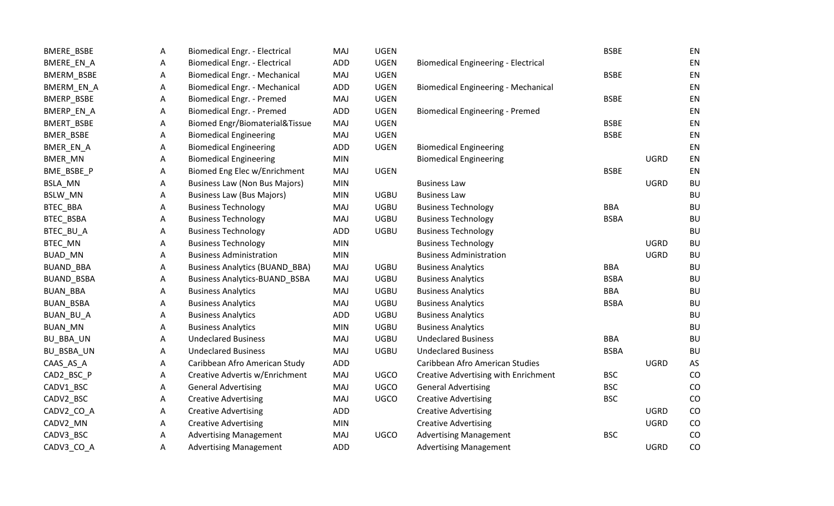| BMERE_BSBE      | A | <b>Biomedical Engr. - Electrical</b>  | MAJ        | <b>UGEN</b> |                                            | <b>BSBE</b> |             | EN        |
|-----------------|---|---------------------------------------|------------|-------------|--------------------------------------------|-------------|-------------|-----------|
| BMERE_EN_A      | Α | <b>Biomedical Engr. - Electrical</b>  | <b>ADD</b> | <b>UGEN</b> | <b>Biomedical Engineering - Electrical</b> |             |             | EN        |
| BMERM_BSBE      | Α | Biomedical Engr. - Mechanical         | MAJ        | <b>UGEN</b> |                                            | <b>BSBE</b> |             | EN        |
| BMERM_EN_A      | Α | Biomedical Engr. - Mechanical         | <b>ADD</b> | <b>UGEN</b> | <b>Biomedical Engineering - Mechanical</b> |             |             | EN        |
| BMERP_BSBE      | Α | Biomedical Engr. - Premed             | MAJ        | <b>UGEN</b> |                                            | <b>BSBE</b> |             | EN        |
| BMERP_EN_A      | Α | <b>Biomedical Engr. - Premed</b>      | <b>ADD</b> | <b>UGEN</b> | <b>Biomedical Engineering - Premed</b>     |             |             | EN        |
| BMERT_BSBE      | Α | Biomed Engr/Biomaterial&Tissue        | MAJ        | <b>UGEN</b> |                                            | <b>BSBE</b> |             | EN        |
| BMER_BSBE       | Α | <b>Biomedical Engineering</b>         | MAJ        | <b>UGEN</b> |                                            | <b>BSBE</b> |             | EN        |
| BMER_EN_A       | Α | <b>Biomedical Engineering</b>         | <b>ADD</b> | <b>UGEN</b> | <b>Biomedical Engineering</b>              |             |             | EN        |
| BMER_MN         | Α | <b>Biomedical Engineering</b>         | <b>MIN</b> |             | <b>Biomedical Engineering</b>              |             | <b>UGRD</b> | EN        |
| BME_BSBE_P      | Α | Biomed Eng Elec w/Enrichment          | MAJ        | <b>UGEN</b> |                                            | <b>BSBE</b> |             | EN        |
| BSLA_MN         | Α | <b>Business Law (Non Bus Majors)</b>  | <b>MIN</b> |             | Business Law                               |             | <b>UGRD</b> | <b>BU</b> |
| BSLW_MN         | A | <b>Business Law (Bus Majors)</b>      | <b>MIN</b> | <b>UGBU</b> | <b>Business Law</b>                        |             |             | <b>BU</b> |
| BTEC_BBA        | Α | <b>Business Technology</b>            | MAJ        | <b>UGBU</b> | <b>Business Technology</b>                 | <b>BBA</b>  |             | BU        |
| BTEC_BSBA       | Α | <b>Business Technology</b>            | MAJ        | <b>UGBU</b> | <b>Business Technology</b>                 | <b>BSBA</b> |             | <b>BU</b> |
| BTEC_BU_A       | Α | <b>Business Technology</b>            | <b>ADD</b> | <b>UGBU</b> | <b>Business Technology</b>                 |             |             | <b>BU</b> |
| BTEC_MN         | Α | <b>Business Technology</b>            | <b>MIN</b> |             | <b>Business Technology</b>                 |             | <b>UGRD</b> | BU        |
| BUAD_MN         | Α | <b>Business Administration</b>        | <b>MIN</b> |             | <b>Business Administration</b>             |             | <b>UGRD</b> | BU        |
| BUAND_BBA       | Α | <b>Business Analytics (BUAND_BBA)</b> | MAJ        | <b>UGBU</b> | <b>Business Analytics</b>                  | <b>BBA</b>  |             | BU        |
| BUAND_BSBA      | Α | <b>Business Analytics-BUAND_BSBA</b>  | MAJ        | <b>UGBU</b> | <b>Business Analytics</b>                  | <b>BSBA</b> |             | <b>BU</b> |
| <b>BUAN_BBA</b> | Α | <b>Business Analytics</b>             | MAJ        | <b>UGBU</b> | <b>Business Analytics</b>                  | <b>BBA</b>  |             | <b>BU</b> |
| BUAN_BSBA       | Α | <b>Business Analytics</b>             | MAJ        | <b>UGBU</b> | <b>Business Analytics</b>                  | <b>BSBA</b> |             | <b>BU</b> |
| BUAN_BU_A       | A | <b>Business Analytics</b>             | <b>ADD</b> | <b>UGBU</b> | <b>Business Analytics</b>                  |             |             | <b>BU</b> |
| BUAN_MN         | Α | <b>Business Analytics</b>             | <b>MIN</b> | <b>UGBU</b> | <b>Business Analytics</b>                  |             |             | <b>BU</b> |
| BU_BBA_UN       | Α | <b>Undeclared Business</b>            | MAJ        | <b>UGBU</b> | <b>Undeclared Business</b>                 | <b>BBA</b>  |             | <b>BU</b> |
| BU_BSBA_UN      | Α | <b>Undeclared Business</b>            | MAJ        | <b>UGBU</b> | <b>Undeclared Business</b>                 | <b>BSBA</b> |             | <b>BU</b> |
| CAAS_AS_A       | Α | Caribbean Afro American Study         | <b>ADD</b> |             | Caribbean Afro American Studies            |             | <b>UGRD</b> | AS        |
| CAD2_BSC_P      | Α | Creative Advertis w/Enrichment        | MAJ        | <b>UGCO</b> | Creative Advertising with Enrichment       | <b>BSC</b>  |             | CO        |
| CADV1_BSC       | Α | <b>General Advertising</b>            | MAJ        | <b>UGCO</b> | <b>General Advertising</b>                 | <b>BSC</b>  |             | CO        |
| CADV2_BSC       | Α | <b>Creative Advertising</b>           | MAJ        | <b>UGCO</b> | <b>Creative Advertising</b>                | <b>BSC</b>  |             | CO        |
| CADV2_CO_A      | Α | <b>Creative Advertising</b>           | <b>ADD</b> |             | <b>Creative Advertising</b>                |             | <b>UGRD</b> | CO        |
| CADV2_MN        | Α | <b>Creative Advertising</b>           | <b>MIN</b> |             | <b>Creative Advertising</b>                |             | <b>UGRD</b> | CO        |
| CADV3_BSC       | Α | <b>Advertising Management</b>         | MAJ        | <b>UGCO</b> | <b>Advertising Management</b>              | <b>BSC</b>  |             | CO        |
| CADV3_CO_A      | Α | <b>Advertising Management</b>         | <b>ADD</b> |             | <b>Advertising Management</b>              |             | <b>UGRD</b> | CO        |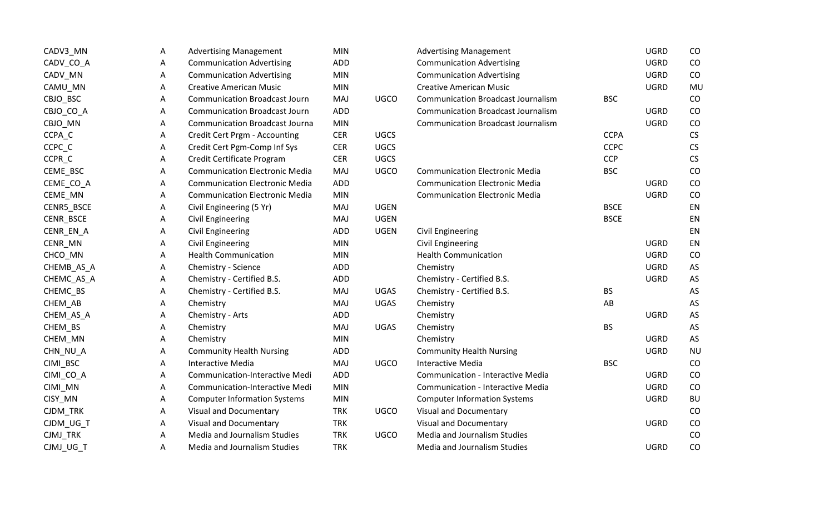| CADV3_MN   | Α | <b>Advertising Management</b>         | <b>MIN</b> |             | <b>Advertising Management</b>             |             | <b>UGRD</b> | CO        |
|------------|---|---------------------------------------|------------|-------------|-------------------------------------------|-------------|-------------|-----------|
| CADV_CO_A  | Α | <b>Communication Advertising</b>      | ADD        |             | <b>Communication Advertising</b>          |             | <b>UGRD</b> | CO        |
| CADV_MN    | Α | <b>Communication Advertising</b>      | <b>MIN</b> |             | <b>Communication Advertising</b>          |             | <b>UGRD</b> | CO        |
| CAMU_MN    | Α | <b>Creative American Music</b>        | <b>MIN</b> |             | <b>Creative American Music</b>            |             | <b>UGRD</b> | MU        |
| CBJO_BSC   | Α | <b>Communication Broadcast Journ</b>  | MAJ        | <b>UGCO</b> | <b>Communication Broadcast Journalism</b> | <b>BSC</b>  |             | CO        |
| CBJO_CO_A  | A | <b>Communication Broadcast Journ</b>  | ADD        |             | <b>Communication Broadcast Journalism</b> |             | <b>UGRD</b> | CO        |
| CBJO_MN    | Α | <b>Communication Broadcast Journa</b> | <b>MIN</b> |             | <b>Communication Broadcast Journalism</b> |             | <b>UGRD</b> | CO        |
| CCPA_C     | Α | Credit Cert Prgm - Accounting         | <b>CER</b> | <b>UGCS</b> |                                           | <b>CCPA</b> |             | <b>CS</b> |
| CCPC_C     | Α | Credit Cert Pgm-Comp Inf Sys          | <b>CER</b> | <b>UGCS</b> |                                           | <b>CCPC</b> |             | CS        |
| CCPR_C     | Α | Credit Certificate Program            | <b>CER</b> | <b>UGCS</b> |                                           | <b>CCP</b>  |             | CS        |
| CEME_BSC   | Α | <b>Communication Electronic Media</b> | MAJ        | <b>UGCO</b> | <b>Communication Electronic Media</b>     | <b>BSC</b>  |             | CO        |
| CEME_CO_A  | Α | <b>Communication Electronic Media</b> | ADD        |             | <b>Communication Electronic Media</b>     |             | <b>UGRD</b> | CO        |
| CEME_MN    | Α | <b>Communication Electronic Media</b> | <b>MIN</b> |             | <b>Communication Electronic Media</b>     |             | <b>UGRD</b> | CO        |
| CENR5_BSCE | Α | Civil Engineering (5 Yr)              | MAJ        | <b>UGEN</b> |                                           | <b>BSCE</b> |             | EN        |
| CENR_BSCE  | Α | <b>Civil Engineering</b>              | MAJ        | <b>UGEN</b> |                                           | <b>BSCE</b> |             | EN        |
| CENR_EN_A  | Α | <b>Civil Engineering</b>              | ADD        | <b>UGEN</b> | <b>Civil Engineering</b>                  |             |             | EN        |
| CENR_MN    | Α | <b>Civil Engineering</b>              | <b>MIN</b> |             | <b>Civil Engineering</b>                  |             | <b>UGRD</b> | EN        |
| CHCO_MN    | A | <b>Health Communication</b>           | <b>MIN</b> |             | <b>Health Communication</b>               |             | <b>UGRD</b> | CO        |
| CHEMB_AS_A | Α | Chemistry - Science                   | ADD        |             | Chemistry                                 |             | <b>UGRD</b> | AS        |
| CHEMC_AS_A | Α | Chemistry - Certified B.S.            | ADD        |             | Chemistry - Certified B.S.                |             | <b>UGRD</b> | AS        |
| CHEMC_BS   | A | Chemistry - Certified B.S.            | MAJ        | <b>UGAS</b> | Chemistry - Certified B.S.                | <b>BS</b>   |             | AS        |
| CHEM_AB    | A | Chemistry                             | MAJ        | <b>UGAS</b> | Chemistry                                 | AB          |             | AS        |
| CHEM_AS_A  | A | Chemistry - Arts                      | ADD        |             | Chemistry                                 |             | <b>UGRD</b> | AS        |
| CHEM_BS    | A | Chemistry                             | MAJ        | <b>UGAS</b> | Chemistry                                 | <b>BS</b>   |             | AS        |
| CHEM_MN    | A | Chemistry                             | <b>MIN</b> |             | Chemistry                                 |             | <b>UGRD</b> | AS        |
| CHN_NU_A   | A | <b>Community Health Nursing</b>       | ADD        |             | <b>Community Health Nursing</b>           |             | <b>UGRD</b> | <b>NU</b> |
| CIMI_BSC   | A | <b>Interactive Media</b>              | MAJ        | <b>UGCO</b> | <b>Interactive Media</b>                  | <b>BSC</b>  |             | CO        |
| CIMI_CO_A  | Α | <b>Communication-Interactive Medi</b> | ADD        |             | <b>Communication - Interactive Media</b>  |             | <b>UGRD</b> | CO        |
| CIMI_MN    | Α | Communication-Interactive Medi        | <b>MIN</b> |             | <b>Communication - Interactive Media</b>  |             | <b>UGRD</b> | CO        |
| CISY_MN    | Α | <b>Computer Information Systems</b>   | <b>MIN</b> |             | <b>Computer Information Systems</b>       |             | <b>UGRD</b> | <b>BU</b> |
| CJDM_TRK   | Α | <b>Visual and Documentary</b>         | <b>TRK</b> | <b>UGCO</b> | <b>Visual and Documentary</b>             |             |             | CO        |
| CJDM_UG_T  | Α | <b>Visual and Documentary</b>         | <b>TRK</b> |             | <b>Visual and Documentary</b>             |             | <b>UGRD</b> | CO        |
| CJMJ_TRK   | Α | Media and Journalism Studies          | <b>TRK</b> | <b>UGCO</b> | Media and Journalism Studies              |             |             | CO        |
| CJMJ UG T  | Α | Media and Journalism Studies          | <b>TRK</b> |             | Media and Journalism Studies              |             | <b>UGRD</b> | CO        |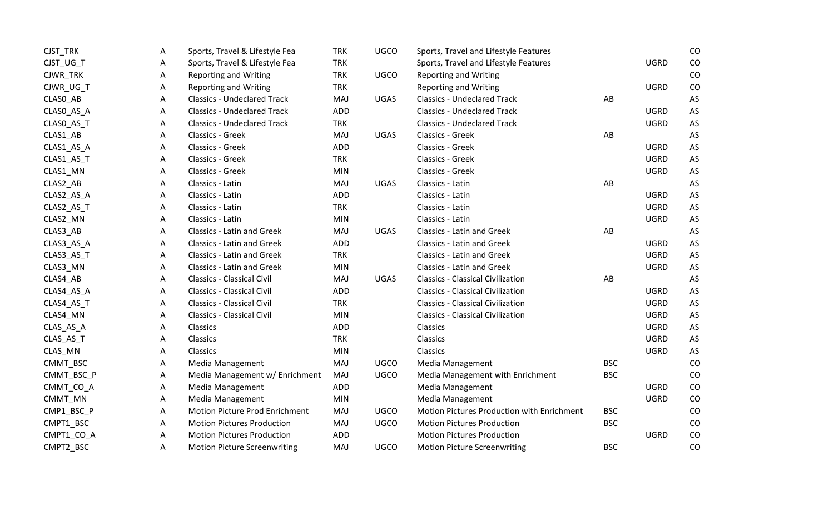| CJST_TRK   | A | Sports, Travel & Lifestyle Fea        | <b>TRK</b> | UGCO        | Sports, Travel and Lifestyle Features      |            |             | CO |
|------------|---|---------------------------------------|------------|-------------|--------------------------------------------|------------|-------------|----|
| CJST_UG_T  | A | Sports, Travel & Lifestyle Fea        | <b>TRK</b> |             | Sports, Travel and Lifestyle Features      |            | <b>UGRD</b> | CO |
| CJWR_TRK   | A | <b>Reporting and Writing</b>          | <b>TRK</b> | <b>UGCO</b> | <b>Reporting and Writing</b>               |            |             | CO |
| CJWR_UG_T  | A | <b>Reporting and Writing</b>          | <b>TRK</b> |             | <b>Reporting and Writing</b>               |            | <b>UGRD</b> | CO |
| CLASO_AB   | A | <b>Classics - Undeclared Track</b>    | MAJ        | <b>UGAS</b> | <b>Classics - Undeclared Track</b>         | AB         |             | AS |
| CLASO_AS_A | A | <b>Classics - Undeclared Track</b>    | <b>ADD</b> |             | <b>Classics - Undeclared Track</b>         |            | <b>UGRD</b> | AS |
| CLASO_AS_T | A | <b>Classics - Undeclared Track</b>    | <b>TRK</b> |             | <b>Classics - Undeclared Track</b>         |            | <b>UGRD</b> | AS |
| CLAS1_AB   | A | Classics - Greek                      | MAJ        | <b>UGAS</b> | Classics - Greek                           | AB         |             | AS |
| CLAS1_AS_A | Α | Classics - Greek                      | <b>ADD</b> |             | Classics - Greek                           |            | <b>UGRD</b> | AS |
| CLAS1_AS_T | A | Classics - Greek                      | <b>TRK</b> |             | Classics - Greek                           |            | <b>UGRD</b> | AS |
| CLAS1_MN   | A | Classics - Greek                      | <b>MIN</b> |             | Classics - Greek                           |            | <b>UGRD</b> | AS |
| CLAS2_AB   | A | Classics - Latin                      | MAJ        | <b>UGAS</b> | Classics - Latin                           | AB         |             | AS |
| CLAS2_AS_A | A | Classics - Latin                      | <b>ADD</b> |             | Classics - Latin                           |            | <b>UGRD</b> | AS |
| CLAS2_AS_T | A | Classics - Latin                      | <b>TRK</b> |             | Classics - Latin                           |            | <b>UGRD</b> | AS |
| CLAS2_MN   | A | Classics - Latin                      | <b>MIN</b> |             | Classics - Latin                           |            | <b>UGRD</b> | AS |
| CLAS3_AB   | A | <b>Classics - Latin and Greek</b>     | MAJ        | <b>UGAS</b> | <b>Classics - Latin and Greek</b>          | AB         |             | AS |
| CLAS3_AS_A | A | <b>Classics - Latin and Greek</b>     | <b>ADD</b> |             | <b>Classics - Latin and Greek</b>          |            | <b>UGRD</b> | AS |
| CLAS3_AS_T | Α | <b>Classics - Latin and Greek</b>     | <b>TRK</b> |             | <b>Classics - Latin and Greek</b>          |            | <b>UGRD</b> | AS |
| CLAS3_MN   | A | <b>Classics - Latin and Greek</b>     | <b>MIN</b> |             | <b>Classics - Latin and Greek</b>          |            | <b>UGRD</b> | AS |
| CLAS4_AB   | A | <b>Classics - Classical Civil</b>     | MAJ        | <b>UGAS</b> | <b>Classics - Classical Civilization</b>   | AB         |             | AS |
| CLAS4_AS_A | A | <b>Classics - Classical Civil</b>     | <b>ADD</b> |             | <b>Classics - Classical Civilization</b>   |            | <b>UGRD</b> | AS |
| CLAS4_AS_T | A | <b>Classics - Classical Civil</b>     | <b>TRK</b> |             | <b>Classics - Classical Civilization</b>   |            | <b>UGRD</b> | AS |
| CLAS4_MN   | A | <b>Classics - Classical Civil</b>     | <b>MIN</b> |             | <b>Classics - Classical Civilization</b>   |            | <b>UGRD</b> | AS |
| CLAS_AS_A  | A | Classics                              | <b>ADD</b> |             | Classics                                   |            | <b>UGRD</b> | AS |
| CLAS_AS_T  | A | <b>Classics</b>                       | <b>TRK</b> |             | Classics                                   |            | <b>UGRD</b> | AS |
| CLAS_MN    | A | Classics                              | <b>MIN</b> |             | Classics                                   |            | <b>UGRD</b> | AS |
| CMMT_BSC   | Α | Media Management                      | MAJ        | <b>UGCO</b> | Media Management                           | <b>BSC</b> |             | CO |
| CMMT_BSC_P | Α | Media Management w/ Enrichment        | MAJ        | <b>UGCO</b> | Media Management with Enrichment           | <b>BSC</b> |             | CO |
| CMMT_CO_A  | A | Media Management                      | <b>ADD</b> |             | Media Management                           |            | <b>UGRD</b> | CO |
| CMMT_MN    | A | Media Management                      | <b>MIN</b> |             | Media Management                           |            | <b>UGRD</b> | CO |
| CMP1_BSC_P | A | <b>Motion Picture Prod Enrichment</b> | MAJ        | UGCO        | Motion Pictures Production with Enrichment | <b>BSC</b> |             | CO |
| CMPT1_BSC  | A | <b>Motion Pictures Production</b>     | MAJ        | <b>UGCO</b> | <b>Motion Pictures Production</b>          | <b>BSC</b> |             | CO |
| CMPT1_CO_A | Α | <b>Motion Pictures Production</b>     | <b>ADD</b> |             | <b>Motion Pictures Production</b>          |            | <b>UGRD</b> | CO |
| CMPT2 BSC  | A | <b>Motion Picture Screenwriting</b>   | MAJ        | <b>UGCO</b> | <b>Motion Picture Screenwriting</b>        | <b>BSC</b> |             | CO |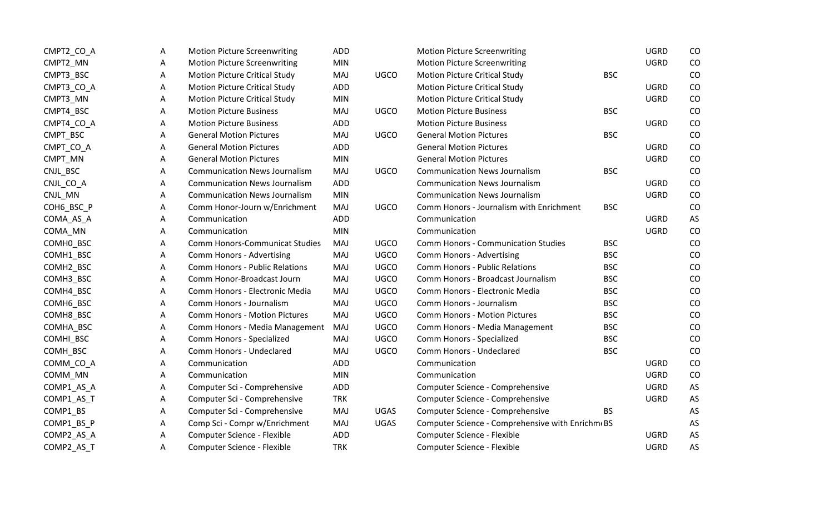| CMPT2_CO_A | A | <b>Motion Picture Screenwriting</b>   | ADD        |             | <b>Motion Picture Screenwriting</b>              |            | <b>UGRD</b> | CO |
|------------|---|---------------------------------------|------------|-------------|--------------------------------------------------|------------|-------------|----|
| CMPT2_MN   | A | <b>Motion Picture Screenwriting</b>   | <b>MIN</b> |             | <b>Motion Picture Screenwriting</b>              |            | <b>UGRD</b> | CO |
| CMPT3_BSC  | Α | <b>Motion Picture Critical Study</b>  | MAJ        | <b>UGCO</b> | <b>Motion Picture Critical Study</b>             | <b>BSC</b> |             | CO |
| CMPT3_CO_A | A | <b>Motion Picture Critical Study</b>  | ADD        |             | <b>Motion Picture Critical Study</b>             |            | <b>UGRD</b> | CO |
| CMPT3_MN   | Α | <b>Motion Picture Critical Study</b>  | <b>MIN</b> |             | <b>Motion Picture Critical Study</b>             |            | <b>UGRD</b> | CO |
| CMPT4_BSC  | A | <b>Motion Picture Business</b>        | MAJ        | <b>UGCO</b> | <b>Motion Picture Business</b>                   | <b>BSC</b> |             | CO |
| CMPT4_CO_A | A | <b>Motion Picture Business</b>        | ADD        |             | <b>Motion Picture Business</b>                   |            | <b>UGRD</b> | CO |
| CMPT BSC   | A | <b>General Motion Pictures</b>        | MAJ        | <b>UGCO</b> | <b>General Motion Pictures</b>                   | <b>BSC</b> |             | CO |
| CMPT_CO_A  | Α | <b>General Motion Pictures</b>        | <b>ADD</b> |             | <b>General Motion Pictures</b>                   |            | <b>UGRD</b> | CO |
| CMPT_MN    | A | <b>General Motion Pictures</b>        | <b>MIN</b> |             | <b>General Motion Pictures</b>                   |            | <b>UGRD</b> | CO |
| CNJL_BSC   | A | <b>Communication News Journalism</b>  | MAJ        | <b>UGCO</b> | <b>Communication News Journalism</b>             | <b>BSC</b> |             | CO |
| CNJL_CO_A  | A | <b>Communication News Journalism</b>  | ADD        |             | <b>Communication News Journalism</b>             |            | <b>UGRD</b> | CO |
| CNJL_MN    | A | <b>Communication News Journalism</b>  | <b>MIN</b> |             | <b>Communication News Journalism</b>             |            | <b>UGRD</b> | CO |
| COH6_BSC_P | A | Comm Honor-Journ w/Enrichment         | MAJ        | <b>UGCO</b> | Comm Honors - Journalism with Enrichment         | <b>BSC</b> |             | CO |
| COMA_AS_A  | A | Communication                         | <b>ADD</b> |             | Communication                                    |            | <b>UGRD</b> | AS |
| COMA_MN    | A | Communication                         | <b>MIN</b> |             | Communication                                    |            | <b>UGRD</b> | CO |
| COMHO_BSC  | A | Comm Honors-Communicat Studies        | MAJ        | <b>UGCO</b> | <b>Comm Honors - Communication Studies</b>       | <b>BSC</b> |             | CO |
| COMH1_BSC  | A | Comm Honors - Advertising             | MAJ        | <b>UGCO</b> | Comm Honors - Advertising                        | <b>BSC</b> |             | CO |
| COMH2_BSC  | Α | <b>Comm Honors - Public Relations</b> | MAJ        | <b>UGCO</b> | <b>Comm Honors - Public Relations</b>            | <b>BSC</b> |             | CO |
| COMH3_BSC  | A | Comm Honor-Broadcast Journ            | MAJ        | <b>UGCO</b> | Comm Honors - Broadcast Journalism               | <b>BSC</b> |             | CO |
| COMH4_BSC  | A | Comm Honors - Electronic Media        | MAJ        | <b>UGCO</b> | Comm Honors - Electronic Media                   | <b>BSC</b> |             | CO |
| COMH6_BSC  | A | Comm Honors - Journalism              | MAJ        | <b>UGCO</b> | Comm Honors - Journalism                         | <b>BSC</b> |             | CO |
| COMH8_BSC  | A | <b>Comm Honors - Motion Pictures</b>  | MAJ        | <b>UGCO</b> | <b>Comm Honors - Motion Pictures</b>             | <b>BSC</b> |             | CO |
| COMHA_BSC  | Α | Comm Honors - Media Management        | MAJ        | <b>UGCO</b> | Comm Honors - Media Management                   | <b>BSC</b> |             | CO |
| COMHI_BSC  | A | Comm Honors - Specialized             | MAJ        | <b>UGCO</b> | Comm Honors - Specialized                        | <b>BSC</b> |             | CO |
| COMH_BSC   | A | Comm Honors - Undeclared              | MAJ        | <b>UGCO</b> | Comm Honors - Undeclared                         | <b>BSC</b> |             | CO |
| COMM_CO_A  | Α | Communication                         | <b>ADD</b> |             | Communication                                    |            | <b>UGRD</b> | CO |
| COMM_MN    | A | Communication                         | <b>MIN</b> |             | Communication                                    |            | <b>UGRD</b> | CO |
| COMP1_AS_A | A | Computer Sci - Comprehensive          | <b>ADD</b> |             | Computer Science - Comprehensive                 |            | <b>UGRD</b> | AS |
| COMP1_AS_T | A | Computer Sci - Comprehensive          | <b>TRK</b> |             | Computer Science - Comprehensive                 |            | <b>UGRD</b> | AS |
| COMP1_BS   | A | Computer Sci - Comprehensive          | MAJ        | UGAS        | Computer Science - Comprehensive                 | <b>BS</b>  |             | AS |
| COMP1_BS_P | A | Comp Sci - Compr w/Enrichment         | MAJ        | <b>UGAS</b> | Computer Science - Comprehensive with Enrichm(BS |            |             | AS |
| COMP2_AS_A | Α | Computer Science - Flexible           | <b>ADD</b> |             | Computer Science - Flexible                      |            | <b>UGRD</b> | AS |
| COMP2 AS T | A | Computer Science - Flexible           | <b>TRK</b> |             | Computer Science - Flexible                      |            | <b>UGRD</b> | AS |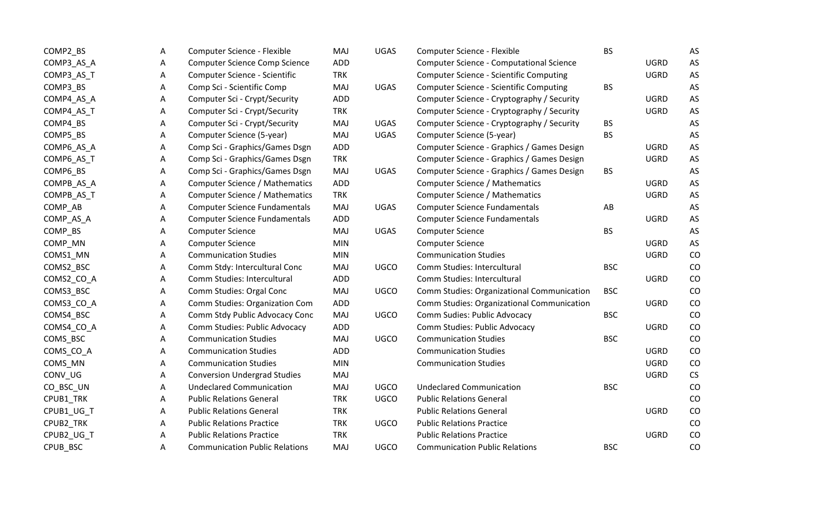| COMP2_BS   | A | Computer Science - Flexible           | MAJ        | <b>UGAS</b> | Computer Science - Flexible                       | <b>BS</b>  |             | AS |
|------------|---|---------------------------------------|------------|-------------|---------------------------------------------------|------------|-------------|----|
| COMP3_AS_A | A | Computer Science Comp Science         | ADD        |             | <b>Computer Science - Computational Science</b>   |            | <b>UGRD</b> | AS |
| COMP3_AS_T | A | Computer Science - Scientific         | <b>TRK</b> |             | <b>Computer Science - Scientific Computing</b>    |            | <b>UGRD</b> | AS |
| COMP3_BS   | Α | Comp Sci - Scientific Comp            | MAJ        | <b>UGAS</b> | <b>Computer Science - Scientific Computing</b>    | BS         |             | AS |
| COMP4_AS_A | Α | Computer Sci - Crypt/Security         | ADD        |             | Computer Science - Cryptography / Security        |            | <b>UGRD</b> | AS |
| COMP4_AS_T | A | Computer Sci - Crypt/Security         | <b>TRK</b> |             | Computer Science - Cryptography / Security        |            | <b>UGRD</b> | AS |
| COMP4_BS   | Α | Computer Sci - Crypt/Security         | MAJ        | UGAS        | Computer Science - Cryptography / Security        | BS         |             | AS |
| COMP5_BS   | Α | Computer Science (5-year)             | MAJ        | <b>UGAS</b> | Computer Science (5-year)                         | <b>BS</b>  |             | AS |
| COMP6_AS_A | Α | Comp Sci - Graphics/Games Dsgn        | ADD        |             | Computer Science - Graphics / Games Design        |            | <b>UGRD</b> | AS |
| COMP6_AS_T | Α | Comp Sci - Graphics/Games Dsgn        | <b>TRK</b> |             | Computer Science - Graphics / Games Design        |            | <b>UGRD</b> | AS |
| COMP6_BS   | A | Comp Sci - Graphics/Games Dsgn        | MAJ        | <b>UGAS</b> | Computer Science - Graphics / Games Design        | <b>BS</b>  |             | AS |
| COMPB_AS_A | Α | Computer Science / Mathematics        | ADD        |             | Computer Science / Mathematics                    |            | <b>UGRD</b> | AS |
| COMPB_AS_T | Α | Computer Science / Mathematics        | <b>TRK</b> |             | <b>Computer Science / Mathematics</b>             |            | <b>UGRD</b> | AS |
| COMP_AB    | Α | <b>Computer Science Fundamentals</b>  | MAJ        | <b>UGAS</b> | <b>Computer Science Fundamentals</b>              | AB         |             | AS |
| COMP_AS_A  | A | <b>Computer Science Fundamentals</b>  | ADD        |             | <b>Computer Science Fundamentals</b>              |            | <b>UGRD</b> | AS |
| COMP_BS    | A | <b>Computer Science</b>               | MAJ        | <b>UGAS</b> | <b>Computer Science</b>                           | <b>BS</b>  |             | AS |
| COMP_MN    | Α | <b>Computer Science</b>               | <b>MIN</b> |             | <b>Computer Science</b>                           |            | <b>UGRD</b> | AS |
| COMS1_MN   | A | <b>Communication Studies</b>          | <b>MIN</b> |             | <b>Communication Studies</b>                      |            | <b>UGRD</b> | CO |
| COMS2_BSC  | Α | Comm Stdy: Intercultural Conc         | MAJ        | <b>UGCO</b> | Comm Studies: Intercultural                       | <b>BSC</b> |             | CO |
| COMS2_CO_A | A | Comm Studies: Intercultural           | ADD        |             | Comm Studies: Intercultural                       |            | <b>UGRD</b> | CO |
| COMS3_BSC  | A | Comm Studies: Orgal Conc              | MAJ        | <b>UGCO</b> | Comm Studies: Organizational Communication        | <b>BSC</b> |             | CO |
| COMS3_CO_A | A | Comm Studies: Organization Com        | ADD        |             | <b>Comm Studies: Organizational Communication</b> |            | <b>UGRD</b> | CO |
| COMS4_BSC  | Α | Comm Stdy Public Advocacy Conc        | MAJ        | UGCO        | Comm Sudies: Public Advocacy                      | <b>BSC</b> |             | CO |
| COMS4_CO_A | Α | Comm Studies: Public Advocacy         | ADD        |             | Comm Studies: Public Advocacy                     |            | <b>UGRD</b> | CO |
| COMS_BSC   | A | <b>Communication Studies</b>          | MAJ        | <b>UGCO</b> | <b>Communication Studies</b>                      | <b>BSC</b> |             | CO |
| COMS_CO_A  | A | <b>Communication Studies</b>          | ADD        |             | <b>Communication Studies</b>                      |            | <b>UGRD</b> | CO |
| COMS_MN    | Α | <b>Communication Studies</b>          | <b>MIN</b> |             | <b>Communication Studies</b>                      |            | <b>UGRD</b> | CO |
| CONV_UG    | Α | <b>Conversion Undergrad Studies</b>   | MAJ        |             |                                                   |            | <b>UGRD</b> | CS |
| CO_BSC_UN  | Α | <b>Undeclared Communication</b>       | MAJ        | <b>UGCO</b> | <b>Undeclared Communication</b>                   | <b>BSC</b> |             | CO |
| CPUB1_TRK  | A | <b>Public Relations General</b>       | <b>TRK</b> | <b>UGCO</b> | <b>Public Relations General</b>                   |            |             | CO |
| CPUB1_UG_T | A | <b>Public Relations General</b>       | <b>TRK</b> |             | <b>Public Relations General</b>                   |            | <b>UGRD</b> | CO |
| CPUB2_TRK  | A | <b>Public Relations Practice</b>      | <b>TRK</b> | <b>UGCO</b> | <b>Public Relations Practice</b>                  |            |             | CO |
| CPUB2_UG_T | Α | <b>Public Relations Practice</b>      | <b>TRK</b> |             | <b>Public Relations Practice</b>                  |            | <b>UGRD</b> | CO |
| CPUB BSC   | A | <b>Communication Public Relations</b> | MAJ        | UGCO        | <b>Communication Public Relations</b>             | <b>BSC</b> |             | CO |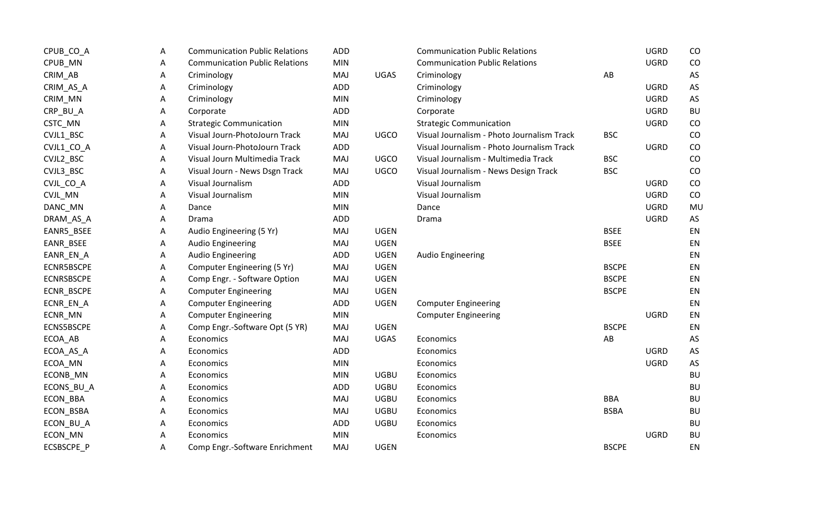| CPUB_CO_A         | Α | <b>Communication Public Relations</b> | <b>ADD</b> |             | <b>Communication Public Relations</b>      |              | <b>UGRD</b> | CO        |
|-------------------|---|---------------------------------------|------------|-------------|--------------------------------------------|--------------|-------------|-----------|
| CPUB_MN           | Α | <b>Communication Public Relations</b> | <b>MIN</b> |             | <b>Communication Public Relations</b>      |              | <b>UGRD</b> | CO        |
| CRIM_AB           | Α | Criminology                           | MAJ        | <b>UGAS</b> | Criminology                                | AB           |             | AS        |
| CRIM_AS_A         | Α | Criminology                           | <b>ADD</b> |             | Criminology                                |              | <b>UGRD</b> | AS        |
| CRIM_MN           | Α | Criminology                           | <b>MIN</b> |             | Criminology                                |              | <b>UGRD</b> | AS        |
| CRP_BU_A          | Α | Corporate                             | <b>ADD</b> |             | Corporate                                  |              | <b>UGRD</b> | <b>BU</b> |
| CSTC_MN           | A | <b>Strategic Communication</b>        | <b>MIN</b> |             | <b>Strategic Communication</b>             |              | <b>UGRD</b> | CO        |
| CVJL1_BSC         | Α | Visual Journ-PhotoJourn Track         | MAJ        | <b>UGCO</b> | Visual Journalism - Photo Journalism Track | <b>BSC</b>   |             | CO        |
| CVJL1_CO_A        | A | Visual Journ-PhotoJourn Track         | <b>ADD</b> |             | Visual Journalism - Photo Journalism Track |              | <b>UGRD</b> | CO        |
| CVJL2_BSC         | Α | Visual Journ Multimedia Track         | MAJ        | <b>UGCO</b> | Visual Journalism - Multimedia Track       | <b>BSC</b>   |             | CO        |
| CVJL3_BSC         | Α | Visual Journ - News Dsgn Track        | MAJ        | <b>UGCO</b> | Visual Journalism - News Design Track      | <b>BSC</b>   |             | CO        |
| CVJL_CO_A         | Α | Visual Journalism                     | <b>ADD</b> |             | Visual Journalism                          |              | <b>UGRD</b> | CO        |
| CVJL_MN           | Α | Visual Journalism                     | <b>MIN</b> |             | Visual Journalism                          |              | <b>UGRD</b> | CO        |
| DANC_MN           | A | Dance                                 | <b>MIN</b> |             | Dance                                      |              | <b>UGRD</b> | MU        |
| DRAM_AS_A         | Α | Drama                                 | <b>ADD</b> |             | Drama                                      |              | <b>UGRD</b> | AS        |
| EANR5_BSEE        | Α | Audio Engineering (5 Yr)              | MAJ        | <b>UGEN</b> |                                            | <b>BSEE</b>  |             | EN        |
| EANR_BSEE         | Α | Audio Engineering                     | MAJ        | <b>UGEN</b> |                                            | <b>BSEE</b>  |             | EN        |
| EANR_EN_A         | Α | <b>Audio Engineering</b>              | <b>ADD</b> | <b>UGEN</b> | Audio Engineering                          |              |             | EN        |
| ECNR5BSCPE        | Α | Computer Engineering (5 Yr)           | MAJ        | <b>UGEN</b> |                                            | <b>BSCPE</b> |             | EN        |
| <b>ECNRSBSCPE</b> | Α | Comp Engr. - Software Option          | MAJ        | <b>UGEN</b> |                                            | <b>BSCPE</b> |             | EN        |
| ECNR_BSCPE        | Α | <b>Computer Engineering</b>           | MAJ        | <b>UGEN</b> |                                            | <b>BSCPE</b> |             | EN        |
| ECNR_EN_A         | Α | <b>Computer Engineering</b>           | ADD        | <b>UGEN</b> | <b>Computer Engineering</b>                |              |             | EN        |
| ECNR_MN           | Α | <b>Computer Engineering</b>           | MIN        |             | <b>Computer Engineering</b>                |              | <b>UGRD</b> | EN        |
| <b>ECNS5BSCPE</b> | Α | Comp Engr.-Software Opt (5 YR)        | MAJ        | <b>UGEN</b> |                                            | <b>BSCPE</b> |             | EN        |
| ECOA_AB           | A | Economics                             | MAJ        | UGAS        | Economics                                  | AB           |             | AS        |
| ECOA_AS_A         | Α | Economics                             | <b>ADD</b> |             | Economics                                  |              | <b>UGRD</b> | AS        |
| ECOA_MN           | Α | Economics                             | <b>MIN</b> |             | Economics                                  |              | <b>UGRD</b> | AS        |
| ECONB_MN          | Α | Economics                             | <b>MIN</b> | <b>UGBU</b> | Economics                                  |              |             | <b>BU</b> |
| ECONS_BU_A        | A | Economics                             | <b>ADD</b> | <b>UGBU</b> | Economics                                  |              |             | <b>BU</b> |
| ECON_BBA          | Α | Economics                             | MAJ        | <b>UGBU</b> | Economics                                  | <b>BBA</b>   |             | <b>BU</b> |
| ECON_BSBA         | Α | Economics                             | MAJ        | <b>UGBU</b> | Economics                                  | <b>BSBA</b>  |             | <b>BU</b> |
| ECON_BU_A         | Α | Economics                             | ADD        | <b>UGBU</b> | Economics                                  |              |             | <b>BU</b> |
| ECON_MN           | Α | Economics                             | <b>MIN</b> |             | Economics                                  |              | <b>UGRD</b> | <b>BU</b> |
| <b>ECSBSCPE P</b> | A | Comp Engr.-Software Enrichment        | MAJ        | <b>UGEN</b> |                                            | <b>BSCPE</b> |             | EN        |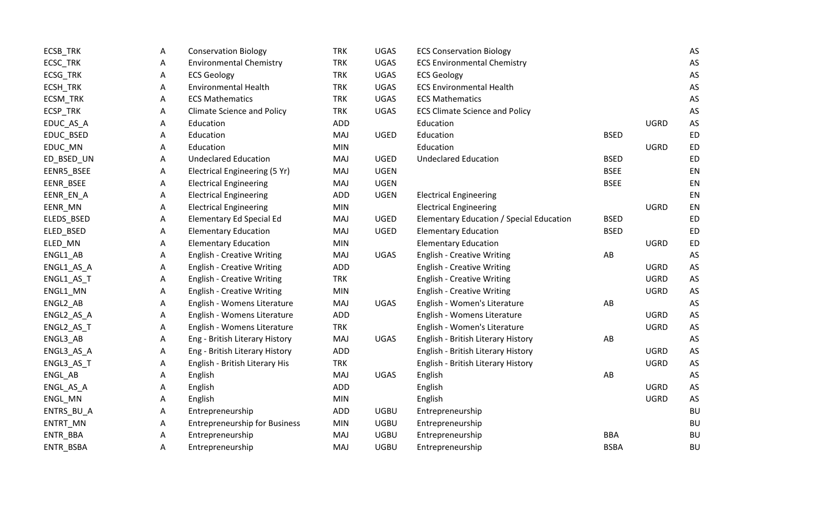| ECSB_TRK   | Α | <b>Conservation Biology</b>          | <b>TRK</b> | UGAS        | <b>ECS Conservation Biology</b>          |             |             | AS        |
|------------|---|--------------------------------------|------------|-------------|------------------------------------------|-------------|-------------|-----------|
| ECSC_TRK   | A | <b>Environmental Chemistry</b>       | <b>TRK</b> | <b>UGAS</b> | <b>ECS Environmental Chemistry</b>       |             |             | AS        |
| ECSG_TRK   | А | <b>ECS Geology</b>                   | <b>TRK</b> | UGAS        | <b>ECS Geology</b>                       |             |             | AS        |
| ECSH_TRK   | Α | <b>Environmental Health</b>          | <b>TRK</b> | <b>UGAS</b> | <b>ECS Environmental Health</b>          |             |             | AS        |
| ECSM_TRK   | Α | <b>ECS Mathematics</b>               | <b>TRK</b> | <b>UGAS</b> | <b>ECS Mathematics</b>                   |             |             | AS        |
| ECSP_TRK   | Α | <b>Climate Science and Policy</b>    | <b>TRK</b> | UGAS        | <b>ECS Climate Science and Policy</b>    |             |             | AS        |
| EDUC_AS_A  | Α | Education                            | <b>ADD</b> |             | Education                                |             | <b>UGRD</b> | AS        |
| EDUC_BSED  | А | Education                            | <b>MAJ</b> | <b>UGED</b> | Education                                | <b>BSED</b> |             | ED        |
| EDUC_MN    | Α | Education                            | <b>MIN</b> |             | Education                                |             | <b>UGRD</b> | <b>ED</b> |
| ED_BSED_UN | Α | <b>Undeclared Education</b>          | MAJ        | <b>UGED</b> | <b>Undeclared Education</b>              | <b>BSED</b> |             | <b>ED</b> |
| EENR5_BSEE | Α | Electrical Engineering (5 Yr)        | MAJ        | <b>UGEN</b> |                                          | <b>BSEE</b> |             | EN        |
| EENR_BSEE  | A | <b>Electrical Engineering</b>        | MAJ        | <b>UGEN</b> |                                          | <b>BSEE</b> |             | EN        |
| EENR_EN_A  | Α | <b>Electrical Engineering</b>        | <b>ADD</b> | <b>UGEN</b> | <b>Electrical Engineering</b>            |             |             | EN        |
| EENR_MN    | А | <b>Electrical Engineering</b>        | <b>MIN</b> |             | <b>Electrical Engineering</b>            |             | <b>UGRD</b> | EN        |
| ELEDS_BSED | Α | <b>Elementary Ed Special Ed</b>      | <b>MAJ</b> | UGED        | Elementary Education / Special Education | <b>BSED</b> |             | <b>ED</b> |
| ELED_BSED  | А | <b>Elementary Education</b>          | <b>MAJ</b> | UGED        | <b>Elementary Education</b>              | <b>BSED</b> |             | ED        |
| ELED_MN    | Α | <b>Elementary Education</b>          | <b>MIN</b> |             | <b>Elementary Education</b>              |             | <b>UGRD</b> | ED        |
| ENGL1_AB   | А | <b>English - Creative Writing</b>    | <b>MAJ</b> | UGAS        | <b>English - Creative Writing</b>        | AB          |             | AS        |
| ENGL1_AS_A | Α | <b>English - Creative Writing</b>    | ADD        |             | <b>English - Creative Writing</b>        |             | <b>UGRD</b> | AS        |
| ENGL1_AS_T | Α | <b>English - Creative Writing</b>    | <b>TRK</b> |             | <b>English - Creative Writing</b>        |             | <b>UGRD</b> | AS        |
| ENGL1_MN   | Α | <b>English - Creative Writing</b>    | <b>MIN</b> |             | <b>English - Creative Writing</b>        |             | <b>UGRD</b> | AS        |
| ENGL2_AB   | Α | English - Womens Literature          | MAJ        | <b>UGAS</b> | English - Women's Literature             | AB          |             | AS        |
| ENGL2_AS_A | Α | English - Womens Literature          | ADD        |             | English - Womens Literature              |             | <b>UGRD</b> | AS        |
| ENGL2_AS_T | Α | English - Womens Literature          | <b>TRK</b> |             | English - Women's Literature             |             | <b>UGRD</b> | AS        |
| ENGL3_AB   | A | Eng - British Literary History       | <b>MAJ</b> | <b>UGAS</b> | English - British Literary History       | AB          |             | AS        |
| ENGL3_AS_A | Α | Eng - British Literary History       | ADD        |             | English - British Literary History       |             | <b>UGRD</b> | AS        |
| ENGL3_AS_T | A | English - British Literary His       | <b>TRK</b> |             | English - British Literary History       |             | <b>UGRD</b> | AS        |
| ENGL_AB    | А | English                              | MAJ        | <b>UGAS</b> | English                                  | AB          |             | AS        |
| ENGL_AS_A  | A | English                              | <b>ADD</b> |             | English                                  |             | <b>UGRD</b> | AS        |
| ENGL_MN    | Α | English                              | <b>MIN</b> |             | English                                  |             | <b>UGRD</b> | AS        |
| ENTRS_BU_A | A | Entrepreneurship                     | ADD        | <b>UGBU</b> | Entrepreneurship                         |             |             | <b>BU</b> |
| ENTRT_MN   | Α | <b>Entrepreneurship for Business</b> | <b>MIN</b> | <b>UGBU</b> | Entrepreneurship                         |             |             | <b>BU</b> |
| ENTR_BBA   | А | Entrepreneurship                     | <b>MAJ</b> | <b>UGBU</b> | Entrepreneurship                         | <b>BBA</b>  |             | BU        |
| ENTR_BSBA  | Α | Entrepreneurship                     | MAJ        | <b>UGBU</b> | Entrepreneurship                         | <b>BSBA</b> |             | <b>BU</b> |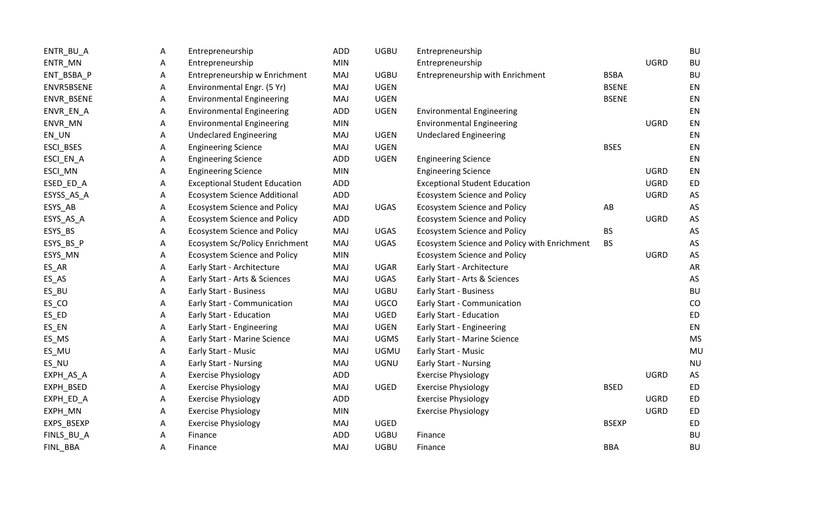| ENTR_BU_A  | A | Entrepreneurship                     | ADD        | <b>UGBU</b> | Entrepreneurship                             |              |             | <b>BU</b> |
|------------|---|--------------------------------------|------------|-------------|----------------------------------------------|--------------|-------------|-----------|
| ENTR_MN    | A | Entrepreneurship                     | <b>MIN</b> |             | Entrepreneurship                             |              | <b>UGRD</b> | <b>BU</b> |
| ENT_BSBA_P | Α | Entrepreneurship w Enrichment        | MAJ        | <b>UGBU</b> | Entrepreneurship with Enrichment             | <b>BSBA</b>  |             | <b>BU</b> |
| ENVR5BSENE | A | Environmental Engr. (5 Yr)           | MAJ        | <b>UGEN</b> |                                              | <b>BSENE</b> |             | EN        |
| ENVR_BSENE | Α | <b>Environmental Engineering</b>     | MAJ        | <b>UGEN</b> |                                              | <b>BSENE</b> |             | EN        |
| ENVR_EN_A  | Α | <b>Environmental Engineering</b>     | ADD        | <b>UGEN</b> | <b>Environmental Engineering</b>             |              |             | EN        |
| ENVR_MN    | A | <b>Environmental Engineering</b>     | <b>MIN</b> |             | <b>Environmental Engineering</b>             |              | <b>UGRD</b> | EN        |
| $EN_UN$    | A | <b>Undeclared Engineering</b>        | MAJ        | <b>UGEN</b> | <b>Undeclared Engineering</b>                |              |             | EN        |
| ESCI_BSES  | Α | <b>Engineering Science</b>           | MAJ        | <b>UGEN</b> |                                              | <b>BSES</b>  |             | EN        |
| ESCI_EN_A  | A | <b>Engineering Science</b>           | ADD        | <b>UGEN</b> | <b>Engineering Science</b>                   |              |             | EN        |
| ESCI_MN    | Α | <b>Engineering Science</b>           | <b>MIN</b> |             | <b>Engineering Science</b>                   |              | <b>UGRD</b> | EN        |
| ESED_ED_A  | A | <b>Exceptional Student Education</b> | ADD        |             | <b>Exceptional Student Education</b>         |              | <b>UGRD</b> | ED        |
| ESYSS_AS_A | A | Ecosystem Science Additional         | ADD        |             | <b>Ecosystem Science and Policy</b>          |              | <b>UGRD</b> | AS        |
| ESYS_AB    | Α | <b>Ecosystem Science and Policy</b>  | MAJ        | <b>UGAS</b> | <b>Ecosystem Science and Policy</b>          | AB           |             | AS        |
| ESYS_AS_A  | Α | <b>Ecosystem Science and Policy</b>  | ADD        |             | <b>Ecosystem Science and Policy</b>          |              | <b>UGRD</b> | AS        |
| ESYS_BS    | Α | <b>Ecosystem Science and Policy</b>  | MAJ        | <b>UGAS</b> | <b>Ecosystem Science and Policy</b>          | <b>BS</b>    |             | AS        |
| ESYS_BS_P  | Α | Ecosystem Sc/Policy Enrichment       | MAJ        | UGAS        | Ecosystem Science and Policy with Enrichment | <b>BS</b>    |             | AS        |
| ESYS_MN    | A | <b>Ecosystem Science and Policy</b>  | <b>MIN</b> |             | <b>Ecosystem Science and Policy</b>          |              | <b>UGRD</b> | AS        |
| ES_AR      | A | Early Start - Architecture           | MAJ        | UGAR        | Early Start - Architecture                   |              |             | AR        |
| ES_AS      | A | Early Start - Arts & Sciences        | MAJ        | <b>UGAS</b> | Early Start - Arts & Sciences                |              |             | AS        |
| ES_BU      | A | Early Start - Business               | MAJ        | <b>UGBU</b> | Early Start - Business                       |              |             | <b>BU</b> |
| ES_CO      | A | Early Start - Communication          | MAJ        | <b>UGCO</b> | Early Start - Communication                  |              |             | CO        |
| ES_ED      | Α | Early Start - Education              | MAJ        | <b>UGED</b> | Early Start - Education                      |              |             | ED        |
| ES_EN      | Α | Early Start - Engineering            | MAJ        | <b>UGEN</b> | Early Start - Engineering                    |              |             | EN        |
| ES_MS      | A | Early Start - Marine Science         | MAJ        | <b>UGMS</b> | Early Start - Marine Science                 |              |             | <b>MS</b> |
| ES_MU      | A | Early Start - Music                  | MAJ        | <b>UGMU</b> | Early Start - Music                          |              |             | MU        |
| ES_NU      | Α | Early Start - Nursing                | MAJ        | <b>UGNU</b> | <b>Early Start - Nursing</b>                 |              |             | <b>NU</b> |
| EXPH_AS_A  | Α | <b>Exercise Physiology</b>           | ADD        |             | <b>Exercise Physiology</b>                   |              | <b>UGRD</b> | AS        |
| EXPH_BSED  | Α | <b>Exercise Physiology</b>           | MAJ        | UGED        | <b>Exercise Physiology</b>                   | <b>BSED</b>  |             | ED        |
| EXPH_ED_A  | A | <b>Exercise Physiology</b>           | ADD        |             | <b>Exercise Physiology</b>                   |              | <b>UGRD</b> | ED        |
| EXPH_MN    | A | <b>Exercise Physiology</b>           | <b>MIN</b> |             | <b>Exercise Physiology</b>                   |              | <b>UGRD</b> | ED        |
| EXPS_BSEXP | A | <b>Exercise Physiology</b>           | MAJ        | UGED        |                                              | <b>BSEXP</b> |             | ED        |
| FINLS_BU_A | Α | Finance                              | ADD        | <b>UGBU</b> | Finance                                      |              |             | <b>BU</b> |
| FINL_BBA   | Α | Finance                              | MAJ        | <b>UGBU</b> | Finance                                      | <b>BBA</b>   |             | <b>BU</b> |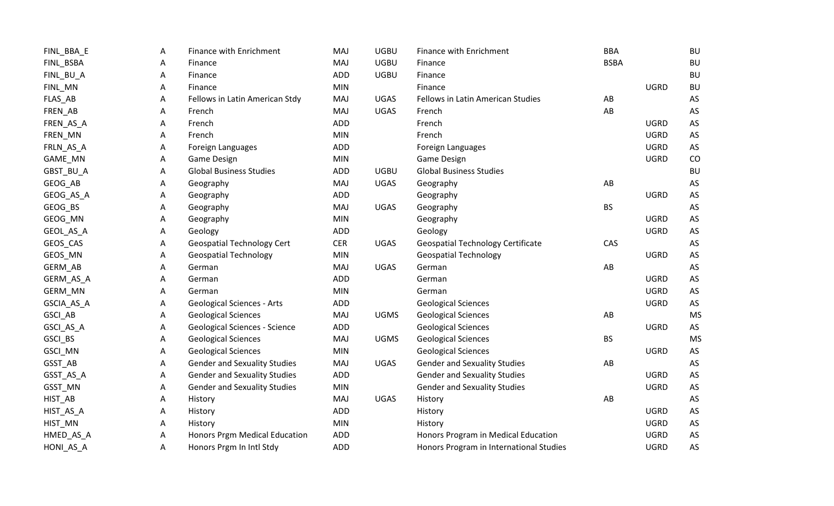| FINL_BBA_E | A | Finance with Enrichment              | <b>MAJ</b> | <b>UGBU</b> | Finance with Enrichment                  | <b>BBA</b>  |             | <b>BU</b> |
|------------|---|--------------------------------------|------------|-------------|------------------------------------------|-------------|-------------|-----------|
| FINL_BSBA  | A | Finance                              | MAJ        | <b>UGBU</b> | Finance                                  | <b>BSBA</b> |             | <b>BU</b> |
| FINL_BU_A  | Α | Finance                              | ADD        | <b>UGBU</b> | Finance                                  |             |             | <b>BU</b> |
| FINL_MN    | Α | Finance                              | <b>MIN</b> |             | Finance                                  |             | <b>UGRD</b> | <b>BU</b> |
| FLAS_AB    | A | Fellows in Latin American Stdy       | <b>MAJ</b> | UGAS        | Fellows in Latin American Studies        | AB          |             | AS        |
| FREN_AB    | Α | French                               | MAJ        | <b>UGAS</b> | French                                   | AB          |             | AS        |
| FREN_AS_A  | A | French                               | ADD        |             | French                                   |             | <b>UGRD</b> | AS        |
| FREN_MN    | A | French                               | <b>MIN</b> |             | French                                   |             | <b>UGRD</b> | AS        |
| FRLN_AS_A  | A | Foreign Languages                    | ADD        |             | Foreign Languages                        |             | <b>UGRD</b> | AS        |
| GAME_MN    | A | Game Design                          | <b>MIN</b> |             | Game Design                              |             | <b>UGRD</b> | CO        |
| GBST_BU_A  | Α | <b>Global Business Studies</b>       | ADD        | <b>UGBU</b> | <b>Global Business Studies</b>           |             |             | <b>BU</b> |
| GEOG_AB    | Α | Geography                            | MAJ        | <b>UGAS</b> | Geography                                | AB          |             | AS        |
| GEOG_AS_A  | Α | Geography                            | ADD        |             | Geography                                |             | <b>UGRD</b> | AS        |
| GEOG_BS    | A | Geography                            | MAJ        | <b>UGAS</b> | Geography                                | <b>BS</b>   |             | AS        |
| GEOG_MN    | A | Geography                            | <b>MIN</b> |             | Geography                                |             | <b>UGRD</b> | AS        |
| GEOL_AS_A  | A | Geology                              | ADD        |             | Geology                                  |             | <b>UGRD</b> | AS        |
| GEOS_CAS   | Α | <b>Geospatial Technology Cert</b>    | <b>CER</b> | <b>UGAS</b> | <b>Geospatial Technology Certificate</b> | CAS         |             | AS        |
| GEOS_MN    | A | <b>Geospatial Technology</b>         | <b>MIN</b> |             | <b>Geospatial Technology</b>             |             | <b>UGRD</b> | AS        |
| GERM_AB    | A | German                               | MAJ        | <b>UGAS</b> | German                                   | AB          |             | AS        |
| GERM_AS_A  | A | German                               | ADD        |             | German                                   |             | <b>UGRD</b> | AS        |
| GERM_MN    | Α | German                               | <b>MIN</b> |             | German                                   |             | <b>UGRD</b> | AS        |
| GSCIA_AS_A | A | <b>Geological Sciences - Arts</b>    | ADD        |             | <b>Geological Sciences</b>               |             | <b>UGRD</b> | AS        |
| GSCI_AB    | Α | <b>Geological Sciences</b>           | MAJ        | <b>UGMS</b> | <b>Geological Sciences</b>               | AB          |             | <b>MS</b> |
| GSCI_AS_A  | Α | <b>Geological Sciences - Science</b> | ADD        |             | <b>Geological Sciences</b>               |             | <b>UGRD</b> | AS        |
| GSCI_BS    | Α | <b>Geological Sciences</b>           | MAJ        | <b>UGMS</b> | <b>Geological Sciences</b>               | <b>BS</b>   |             | <b>MS</b> |
| GSCI_MN    | Α | <b>Geological Sciences</b>           | <b>MIN</b> |             | <b>Geological Sciences</b>               |             | <b>UGRD</b> | AS        |
| GSST_AB    | Α | <b>Gender and Sexuality Studies</b>  | MAJ        | <b>UGAS</b> | <b>Gender and Sexuality Studies</b>      | AB          |             | AS        |
| GSST_AS_A  | Α | <b>Gender and Sexuality Studies</b>  | ADD        |             | <b>Gender and Sexuality Studies</b>      |             | <b>UGRD</b> | AS        |
| GSST_MN    | Α | <b>Gender and Sexuality Studies</b>  | <b>MIN</b> |             | <b>Gender and Sexuality Studies</b>      |             | <b>UGRD</b> | AS        |
| HIST_AB    | A | History                              | MAJ        | <b>UGAS</b> | History                                  | AB          |             | AS        |
| HIST_AS_A  | A | History                              | ADD        |             | History                                  |             | <b>UGRD</b> | AS        |
| HIST_MN    | A | History                              | <b>MIN</b> |             | History                                  |             | <b>UGRD</b> | AS        |
| HMED_AS_A  | Α | Honors Prgm Medical Education        | <b>ADD</b> |             | Honors Program in Medical Education      |             | <b>UGRD</b> | AS        |
| HONI_AS_A  | Α | Honors Prgm In Intl Stdy             | ADD        |             | Honors Program in International Studies  |             | <b>UGRD</b> | AS        |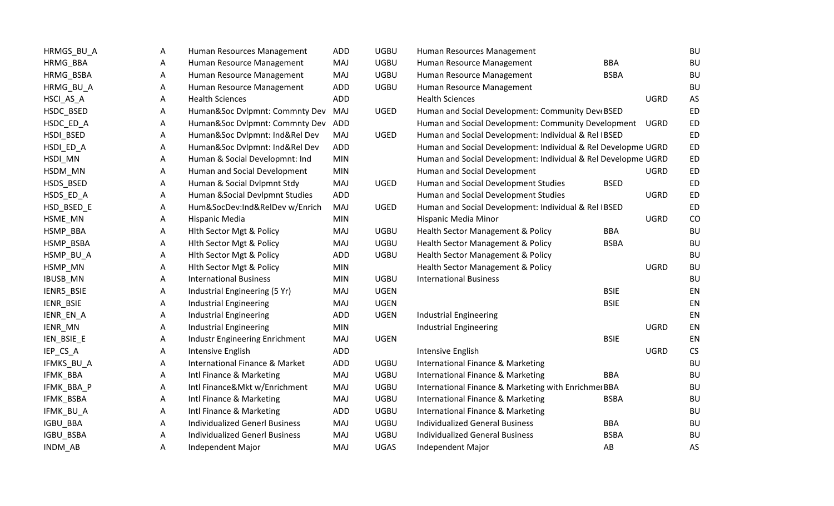| HRMGS_BU_A     | А | Human Resources Management            | <b>ADD</b> | <b>UGBU</b> | Human Resources Management                                    |             |             | <b>BU</b>            |
|----------------|---|---------------------------------------|------------|-------------|---------------------------------------------------------------|-------------|-------------|----------------------|
| HRMG_BBA       | Α | Human Resource Management             | MAJ        | <b>UGBU</b> | Human Resource Management                                     | <b>BBA</b>  |             | <b>BU</b>            |
| HRMG_BSBA      | Α | Human Resource Management             | MAJ        | <b>UGBU</b> | Human Resource Management                                     | <b>BSBA</b> |             | <b>BU</b>            |
| HRMG_BU_A      | Α | Human Resource Management             | <b>ADD</b> | <b>UGBU</b> | Human Resource Management                                     |             |             | <b>BU</b>            |
| HSCI_AS_A      | Α | <b>Health Sciences</b>                | <b>ADD</b> |             | <b>Health Sciences</b>                                        |             | <b>UGRD</b> | AS                   |
| HSDC_BSED      | Α | Human&Soc Dvlpmnt: Commnty Dev        | MAJ        | UGED        | Human and Social Development: Community DeveBSED              |             |             | <b>ED</b>            |
| HSDC_ED_A      | Α | Human&Soc Dvlpmnt: Commnty Dev        | ADD        |             | Human and Social Development: Community Development           |             | UGRD        | <b>ED</b>            |
| HSDI_BSED      | Α | Human&Soc Dvlpmnt: Ind&Rel Dev        | MAJ        | UGED        | Human and Social Development: Individual & Rel IBSED          |             |             | ED                   |
| HSDI_ED_A      | Α | Human&Soc Dvlpmnt: Ind&Rel Dev        | <b>ADD</b> |             | Human and Social Development: Individual & Rel Developme UGRD |             |             | ED                   |
| HSDI_MN        | Α | Human & Social Developmnt: Ind        | <b>MIN</b> |             | Human and Social Development: Individual & Rel Developme UGRD |             |             | ED                   |
| HSDM_MN        | Α | Human and Social Development          | <b>MIN</b> |             | Human and Social Development                                  |             | <b>UGRD</b> | ED                   |
| HSDS_BSED      | Α | Human & Social Dvlpmnt Stdy           | MAJ        | <b>UGED</b> | Human and Social Development Studies                          | <b>BSED</b> |             | <b>ED</b>            |
| HSDS_ED_A      | Α | Human & Social Devlpmnt Studies       | <b>ADD</b> |             | Human and Social Development Studies                          |             | <b>UGRD</b> | ED                   |
| HSD_BSED_E     | Α | Hum&SocDev:Ind&RelDev w/Enrich        | MAJ        | UGED        | Human and Social Development: Individual & Rel IBSED          |             |             | ED                   |
| HSME_MN        | Α | Hispanic Media                        | <b>MIN</b> |             | Hispanic Media Minor                                          |             | <b>UGRD</b> | CO                   |
| HSMP_BBA       | Α | Hith Sector Mgt & Policy              | <b>MAJ</b> | <b>UGBU</b> | Health Sector Management & Policy                             | <b>BBA</b>  |             | <b>BU</b>            |
| HSMP_BSBA      | A | Hith Sector Mgt & Policy              | <b>MAJ</b> | <b>UGBU</b> | Health Sector Management & Policy                             | <b>BSBA</b> |             | <b>BU</b>            |
| HSMP_BU_A      | Α | Hith Sector Mgt & Policy              | <b>ADD</b> | <b>UGBU</b> | Health Sector Management & Policy                             |             |             | <b>BU</b>            |
| HSMP_MN        | А | Hith Sector Mgt & Policy              | <b>MIN</b> |             | Health Sector Management & Policy                             |             | <b>UGRD</b> | <b>BU</b>            |
| IBUSB_MN       | Α | <b>International Business</b>         | <b>MIN</b> | <b>UGBU</b> | <b>International Business</b>                                 |             |             | <b>BU</b>            |
| IENR5_BSIE     | Α | Industrial Engineering (5 Yr)         | MAJ        | <b>UGEN</b> |                                                               | <b>BSIE</b> |             | EN                   |
| IENR_BSIE      | Α | <b>Industrial Engineering</b>         | MAJ        | <b>UGEN</b> |                                                               | <b>BSIE</b> |             | EN                   |
| IENR_EN_A      | Α | <b>Industrial Engineering</b>         | <b>ADD</b> | <b>UGEN</b> | <b>Industrial Engineering</b>                                 |             |             | EN                   |
| IENR_MN        | Α | <b>Industrial Engineering</b>         | <b>MIN</b> |             | <b>Industrial Engineering</b>                                 |             | <b>UGRD</b> | EN                   |
| IEN_BSIE_E     | Α | Industr Engineering Enrichment        | MAJ        | <b>UGEN</b> |                                                               | <b>BSIE</b> |             | EN                   |
| IEP_CS_A       | А | Intensive English                     | <b>ADD</b> |             | Intensive English                                             |             | <b>UGRD</b> | $\mathsf{CS}\xspace$ |
| IFMKS_BU_A     | Α | International Finance & Market        | ADD        | <b>UGBU</b> | International Finance & Marketing                             |             |             | <b>BU</b>            |
| IFMK_BBA       | A | Intl Finance & Marketing              | MAJ        | <b>UGBU</b> | International Finance & Marketing                             | <b>BBA</b>  |             | <b>BU</b>            |
| IFMK_BBA_P     | Α | Intl Finance&Mkt w/Enrichment         | <b>MAJ</b> | <b>UGBU</b> | International Finance & Marketing with Enrichmer BBA          |             |             | <b>BU</b>            |
| IFMK_BSBA      | A | Intl Finance & Marketing              | MAJ        | <b>UGBU</b> | International Finance & Marketing                             | <b>BSBA</b> |             | <b>BU</b>            |
| IFMK_BU_A      | Α | Intl Finance & Marketing              | <b>ADD</b> | <b>UGBU</b> | International Finance & Marketing                             |             |             | <b>BU</b>            |
| IGBU_BBA       | Α | <b>Individualized Generl Business</b> | MAJ        | <b>UGBU</b> | <b>Individualized General Business</b>                        | <b>BBA</b>  |             | <b>BU</b>            |
| IGBU_BSBA      | Α | <b>Individualized Generl Business</b> | MAJ        | <b>UGBU</b> | <b>Individualized General Business</b>                        | <b>BSBA</b> |             | <b>BU</b>            |
| <b>INDM AB</b> | Α | Independent Major                     | MAJ        | <b>UGAS</b> | Independent Major                                             | AB          |             | AS                   |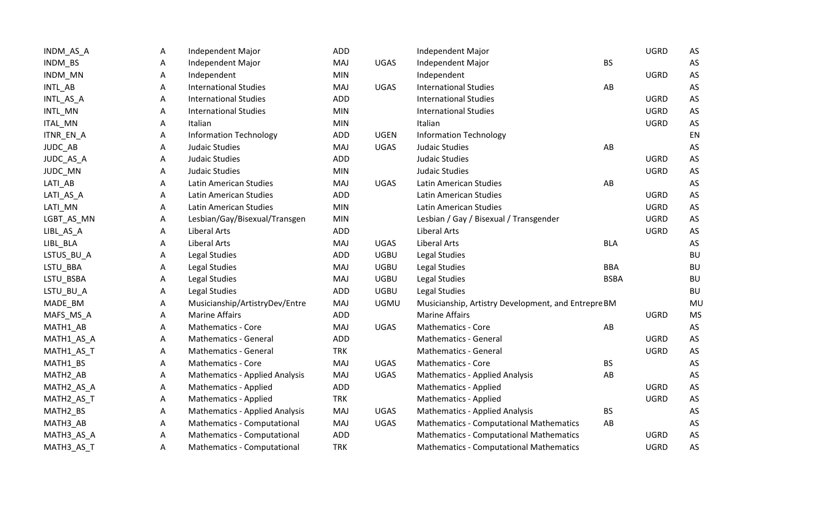| INDM_AS_A            | Α | Independent Major                     | ADD        |             | Independent Major                                   |             | <b>UGRD</b> | AS        |
|----------------------|---|---------------------------------------|------------|-------------|-----------------------------------------------------|-------------|-------------|-----------|
| INDM_BS              | Α | Independent Major                     | MAJ        | <b>UGAS</b> | Independent Major                                   | <b>BS</b>   |             | AS        |
| INDM_MN              | Α | Independent                           | <b>MIN</b> |             | Independent                                         |             | <b>UGRD</b> | AS        |
| INTL_AB              | A | <b>International Studies</b>          | MAJ        | <b>UGAS</b> | <b>International Studies</b>                        | AB          |             | AS        |
| INTL_AS_A            | Α | <b>International Studies</b>          | ADD        |             | <b>International Studies</b>                        |             | <b>UGRD</b> | AS        |
| INTL_MN              | Α | <b>International Studies</b>          | <b>MIN</b> |             | <b>International Studies</b>                        |             | <b>UGRD</b> | AS        |
| ITAL_MN              | A | Italian                               | <b>MIN</b> |             | Italian                                             |             | <b>UGRD</b> | AS        |
| ITNR_EN_A            | Α | <b>Information Technology</b>         | ADD        | <b>UGEN</b> | <b>Information Technology</b>                       |             |             | EN        |
| JUDC_AB              | Α | Judaic Studies                        | MAJ        | <b>UGAS</b> | Judaic Studies                                      | AB          |             | AS        |
| JUDC_AS_A            | А | Judaic Studies                        | ADD        |             | Judaic Studies                                      |             | <b>UGRD</b> | AS        |
| JUDC_MN              | Α | Judaic Studies                        | <b>MIN</b> |             | Judaic Studies                                      |             | <b>UGRD</b> | AS        |
| LATI_AB              | A | <b>Latin American Studies</b>         | MAJ        | <b>UGAS</b> | Latin American Studies                              | AB          |             | AS        |
| LATI_AS_A            | Α | Latin American Studies                | ADD        |             | Latin American Studies                              |             | <b>UGRD</b> | AS        |
| LATI_MN              | Α | Latin American Studies                | <b>MIN</b> |             | Latin American Studies                              |             | <b>UGRD</b> | AS        |
| LGBT_AS_MN           | Α | Lesbian/Gay/Bisexual/Transgen         | <b>MIN</b> |             | Lesbian / Gay / Bisexual / Transgender              |             | <b>UGRD</b> | AS        |
| LIBL_AS_A            | Α | <b>Liberal Arts</b>                   | ADD        |             | <b>Liberal Arts</b>                                 |             | <b>UGRD</b> | AS        |
| LIBL_BLA             | A | <b>Liberal Arts</b>                   | MAJ        | <b>UGAS</b> | <b>Liberal Arts</b>                                 | <b>BLA</b>  |             | AS        |
| LSTUS_BU_A           | Α | Legal Studies                         | ADD        | <b>UGBU</b> | Legal Studies                                       |             |             | <b>BU</b> |
| LSTU_BBA             | A | Legal Studies                         | MAJ        | <b>UGBU</b> | Legal Studies                                       | <b>BBA</b>  |             | <b>BU</b> |
| LSTU_BSBA            | Α | <b>Legal Studies</b>                  | MAJ        | <b>UGBU</b> | <b>Legal Studies</b>                                | <b>BSBA</b> |             | BU        |
| LSTU_BU_A            | Α | Legal Studies                         | ADD        | <b>UGBU</b> | Legal Studies                                       |             |             | <b>BU</b> |
| MADE_BM              | Α | Musicianship/ArtistryDev/Entre        | MAJ        | <b>UGMU</b> | Musicianship, Artistry Development, and Entrepre BM |             |             | MU        |
| MAFS_MS_A            | Α | <b>Marine Affairs</b>                 | ADD        |             | <b>Marine Affairs</b>                               |             | <b>UGRD</b> | <b>MS</b> |
| MATH1_AB             | Α | <b>Mathematics - Core</b>             | MAJ        | <b>UGAS</b> | <b>Mathematics - Core</b>                           | AB          |             | AS        |
| MATH1_AS_A           | Α | Mathematics - General                 | ADD        |             | <b>Mathematics - General</b>                        |             | <b>UGRD</b> | AS        |
| MATH1_AS_T           | Α | Mathematics - General                 | <b>TRK</b> |             | <b>Mathematics - General</b>                        |             | <b>UGRD</b> | AS        |
| MATH1_BS             | Α | <b>Mathematics - Core</b>             | MAJ        | <b>UGAS</b> | <b>Mathematics - Core</b>                           | <b>BS</b>   |             | AS        |
| MATH <sub>2_AB</sub> | Α | <b>Mathematics - Applied Analysis</b> | MAJ        | <b>UGAS</b> | <b>Mathematics - Applied Analysis</b>               | AB          |             | AS        |
| MATH2_AS_A           | Α | <b>Mathematics - Applied</b>          | ADD        |             | Mathematics - Applied                               |             | <b>UGRD</b> | AS        |
| MATH2_AS_T           | A | Mathematics - Applied                 | <b>TRK</b> |             | <b>Mathematics - Applied</b>                        |             | <b>UGRD</b> | AS        |
| MATH2_BS             | Α | <b>Mathematics - Applied Analysis</b> | MAJ        | <b>UGAS</b> | <b>Mathematics - Applied Analysis</b>               | <b>BS</b>   |             | AS        |
| MATH3_AB             | Α | Mathematics - Computational           | MAJ        | <b>UGAS</b> | <b>Mathematics - Computational Mathematics</b>      | AB          |             | AS        |
| MATH3_AS_A           | Α | Mathematics - Computational           | ADD        |             | <b>Mathematics - Computational Mathematics</b>      |             | <b>UGRD</b> | AS        |
| MATH3_AS_T           | Α | Mathematics - Computational           | <b>TRK</b> |             | <b>Mathematics - Computational Mathematics</b>      |             | <b>UGRD</b> | AS        |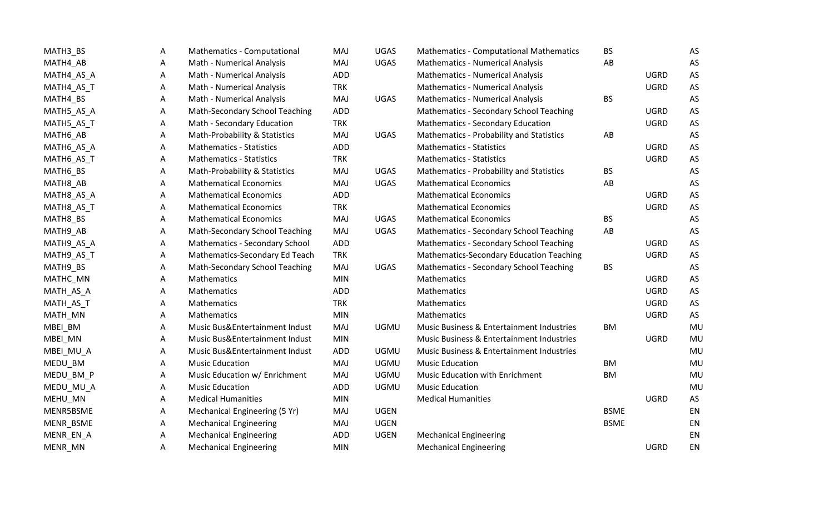| MATH3_BS   | A | Mathematics - Computational           | MAJ        | <b>UGAS</b> | <b>Mathematics - Computational Mathematics</b>  | <b>BS</b>   |             | AS |
|------------|---|---------------------------------------|------------|-------------|-------------------------------------------------|-------------|-------------|----|
| MATH4_AB   | A | Math - Numerical Analysis             | MAJ        | <b>UGAS</b> | <b>Mathematics - Numerical Analysis</b>         | AB          |             | AS |
| MATH4_AS_A | Α | Math - Numerical Analysis             | <b>ADD</b> |             | <b>Mathematics - Numerical Analysis</b>         |             | <b>UGRD</b> | AS |
| MATH4_AS_T | Α | Math - Numerical Analysis             | <b>TRK</b> |             | <b>Mathematics - Numerical Analysis</b>         |             | <b>UGRD</b> | AS |
| MATH4_BS   | Α | Math - Numerical Analysis             | MAJ        | <b>UGAS</b> | <b>Mathematics - Numerical Analysis</b>         | <b>BS</b>   |             | AS |
| MATH5_AS_A | A | Math-Secondary School Teaching        | <b>ADD</b> |             | Mathematics - Secondary School Teaching         |             | <b>UGRD</b> | AS |
| MATH5_AS_T | Α | Math - Secondary Education            | <b>TRK</b> |             | <b>Mathematics - Secondary Education</b>        |             | <b>UGRD</b> | AS |
| MATH6_AB   | Α | Math-Probability & Statistics         | MAJ        | <b>UGAS</b> | Mathematics - Probability and Statistics        | AB          |             | AS |
| MATH6_AS_A | Α | <b>Mathematics - Statistics</b>       | <b>ADD</b> |             | <b>Mathematics - Statistics</b>                 |             | <b>UGRD</b> | AS |
| MATH6_AS_T | Α | <b>Mathematics - Statistics</b>       | <b>TRK</b> |             | <b>Mathematics - Statistics</b>                 |             | <b>UGRD</b> | AS |
| MATH6_BS   | Α | Math-Probability & Statistics         | MAJ        | <b>UGAS</b> | Mathematics - Probability and Statistics        | <b>BS</b>   |             | AS |
| MATH8_AB   | Α | <b>Mathematical Economics</b>         | MAJ        | <b>UGAS</b> | <b>Mathematical Economics</b>                   | AB          |             | AS |
| MATH8_AS_A | A | <b>Mathematical Economics</b>         | <b>ADD</b> |             | <b>Mathematical Economics</b>                   |             | <b>UGRD</b> | AS |
| MATH8_AS_T | Α | <b>Mathematical Economics</b>         | <b>TRK</b> |             | <b>Mathematical Economics</b>                   |             | <b>UGRD</b> | AS |
| MATH8_BS   | Α | <b>Mathematical Economics</b>         | MAJ        | <b>UGAS</b> | <b>Mathematical Economics</b>                   | <b>BS</b>   |             | AS |
| MATH9_AB   | Α | Math-Secondary School Teaching        | MAJ        | <b>UGAS</b> | Mathematics - Secondary School Teaching         | AB          |             | AS |
| MATH9_AS_A | Α | <b>Mathematics - Secondary School</b> | <b>ADD</b> |             | <b>Mathematics - Secondary School Teaching</b>  |             | <b>UGRD</b> | AS |
| MATH9_AS_T | Α | Mathematics-Secondary Ed Teach        | <b>TRK</b> |             | <b>Mathematics-Secondary Education Teaching</b> |             | <b>UGRD</b> | AS |
| MATH9_BS   | Α | Math-Secondary School Teaching        | MAJ        | <b>UGAS</b> | <b>Mathematics - Secondary School Teaching</b>  | <b>BS</b>   |             | AS |
| MATHC_MN   | Α | Mathematics                           | <b>MIN</b> |             | Mathematics                                     |             | <b>UGRD</b> | AS |
| MATH_AS_A  | A | Mathematics                           | <b>ADD</b> |             | Mathematics                                     |             | <b>UGRD</b> | AS |
| MATH_AS_T  | Α | Mathematics                           | <b>TRK</b> |             | Mathematics                                     |             | <b>UGRD</b> | AS |
| MATH_MN    | Α | Mathematics                           | <b>MIN</b> |             | Mathematics                                     |             | <b>UGRD</b> | AS |
| MBEI_BM    | Α | Music Bus&Entertainment Indust        | MAJ        | <b>UGMU</b> | Music Business & Entertainment Industries       | <b>BM</b>   |             | MU |
| MBEI_MN    | A | Music Bus&Entertainment Indust        | <b>MIN</b> |             | Music Business & Entertainment Industries       |             | <b>UGRD</b> | MU |
| MBEI_MU_A  | Α | Music Bus&Entertainment Indust        | ADD        | <b>UGMU</b> | Music Business & Entertainment Industries       |             |             | MU |
| MEDU_BM    | Α | <b>Music Education</b>                | MAJ        | <b>UGMU</b> | <b>Music Education</b>                          | <b>BM</b>   |             | MU |
| MEDU_BM_P  | Α | Music Education w/ Enrichment         | MAJ        | <b>UGMU</b> | Music Education with Enrichment                 | <b>BM</b>   |             | MU |
| MEDU_MU_A  | Α | <b>Music Education</b>                | <b>ADD</b> | <b>UGMU</b> | <b>Music Education</b>                          |             |             | MU |
| MEHU_MN    | A | <b>Medical Humanities</b>             | <b>MIN</b> |             | <b>Medical Humanities</b>                       |             | <b>UGRD</b> | AS |
| MENR5BSME  | A | Mechanical Engineering (5 Yr)         | MAJ        | <b>UGEN</b> |                                                 | <b>BSME</b> |             | EN |
| MENR_BSME  | Α | <b>Mechanical Engineering</b>         | MAJ        | <b>UGEN</b> |                                                 | <b>BSME</b> |             | EN |
| MENR_EN_A  | Α | <b>Mechanical Engineering</b>         | <b>ADD</b> | <b>UGEN</b> | <b>Mechanical Engineering</b>                   |             |             | EN |
| MENR_MN    | Α | <b>Mechanical Engineering</b>         | <b>MIN</b> |             | <b>Mechanical Engineering</b>                   |             | <b>UGRD</b> | EN |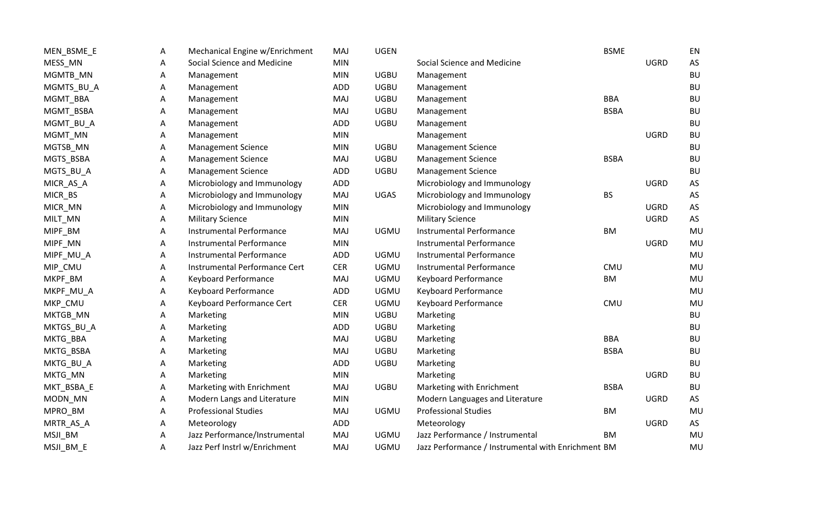| MEN_BSME_E | A | Mechanical Engine w/Enrichment | MAJ        | <b>UGEN</b> |                                                    | <b>BSME</b> |             | EN        |
|------------|---|--------------------------------|------------|-------------|----------------------------------------------------|-------------|-------------|-----------|
| MESS_MN    | Α | Social Science and Medicine    | <b>MIN</b> |             | Social Science and Medicine                        |             | <b>UGRD</b> | AS        |
| MGMTB_MN   | Α | Management                     | <b>MIN</b> | <b>UGBU</b> | Management                                         |             |             | <b>BU</b> |
| MGMTS_BU_A | Α | Management                     | ADD        | <b>UGBU</b> | Management                                         |             |             | <b>BU</b> |
| MGMT_BBA   | Α | Management                     | MAJ        | <b>UGBU</b> | Management                                         | <b>BBA</b>  |             | <b>BU</b> |
| MGMT_BSBA  | Α | Management                     | MAJ        | <b>UGBU</b> | Management                                         | <b>BSBA</b> |             | <b>BU</b> |
| MGMT_BU_A  | Α | Management                     | ADD        | <b>UGBU</b> | Management                                         |             |             | <b>BU</b> |
| MGMT_MN    | Α | Management                     | <b>MIN</b> |             | Management                                         |             | <b>UGRD</b> | <b>BU</b> |
| MGTSB_MN   | Α | <b>Management Science</b>      | <b>MIN</b> | <b>UGBU</b> | <b>Management Science</b>                          |             |             | <b>BU</b> |
| MGTS_BSBA  | Α | <b>Management Science</b>      | MAJ        | <b>UGBU</b> | <b>Management Science</b>                          | <b>BSBA</b> |             | <b>BU</b> |
| MGTS_BU_A  | Α | <b>Management Science</b>      | ADD        | <b>UGBU</b> | <b>Management Science</b>                          |             |             | <b>BU</b> |
| MICR_AS_A  | Α | Microbiology and Immunology    | ADD        |             | Microbiology and Immunology                        |             | <b>UGRD</b> | AS        |
| MICR_BS    | Α | Microbiology and Immunology    | MAJ        | <b>UGAS</b> | Microbiology and Immunology                        | <b>BS</b>   |             | AS        |
| MICR_MN    | Α | Microbiology and Immunology    | <b>MIN</b> |             | Microbiology and Immunology                        |             | <b>UGRD</b> | AS        |
| MILT_MN    | Α | <b>Military Science</b>        | <b>MIN</b> |             | <b>Military Science</b>                            |             | <b>UGRD</b> | AS        |
| MIPF_BM    | А | Instrumental Performance       | MAJ        | <b>UGMU</b> | <b>Instrumental Performance</b>                    | BM          |             | MU        |
| MIPF_MN    | Α | Instrumental Performance       | <b>MIN</b> |             | <b>Instrumental Performance</b>                    |             | <b>UGRD</b> | MU        |
| MIPF_MU_A  | Α | Instrumental Performance       | ADD        | <b>UGMU</b> | <b>Instrumental Performance</b>                    |             |             | MU        |
| MIP_CMU    | Α | Instrumental Performance Cert  | <b>CER</b> | <b>UGMU</b> | <b>Instrumental Performance</b>                    | CMU         |             | MU        |
| MKPF_BM    | Α | <b>Keyboard Performance</b>    | MAJ        | <b>UGMU</b> | <b>Keyboard Performance</b>                        | <b>BM</b>   |             | MU        |
| MKPF_MU_A  | Α | <b>Keyboard Performance</b>    | ADD        | <b>UGMU</b> | Keyboard Performance                               |             |             | MU        |
| MKP_CMU    | Α | Keyboard Performance Cert      | <b>CER</b> | <b>UGMU</b> | <b>Keyboard Performance</b>                        | CMU         |             | MU        |
| MKTGB_MN   | Α | Marketing                      | <b>MIN</b> | <b>UGBU</b> | Marketing                                          |             |             | <b>BU</b> |
| MKTGS_BU_A | Α | Marketing                      | ADD        | <b>UGBU</b> | Marketing                                          |             |             | <b>BU</b> |
| MKTG_BBA   | Α | Marketing                      | MAJ        | <b>UGBU</b> | Marketing                                          | <b>BBA</b>  |             | <b>BU</b> |
| MKTG_BSBA  | Α | Marketing                      | MAJ        | <b>UGBU</b> | Marketing                                          | <b>BSBA</b> |             | <b>BU</b> |
| MKTG_BU_A  | А | Marketing                      | ADD        | <b>UGBU</b> | Marketing                                          |             |             | <b>BU</b> |
| MKTG_MN    | Α | Marketing                      | <b>MIN</b> |             | Marketing                                          |             | <b>UGRD</b> | <b>BU</b> |
| MKT_BSBA_E | А | Marketing with Enrichment      | MAJ        | <b>UGBU</b> | Marketing with Enrichment                          | <b>BSBA</b> |             | <b>BU</b> |
| MODN_MN    | Α | Modern Langs and Literature    | <b>MIN</b> |             | Modern Languages and Literature                    |             | <b>UGRD</b> | AS        |
| MPRO_BM    | Α | <b>Professional Studies</b>    | MAJ        | <b>UGMU</b> | <b>Professional Studies</b>                        | BM          |             | MU        |
| MRTR_AS_A  | Α | Meteorology                    | ADD        |             | Meteorology                                        |             | <b>UGRD</b> | AS        |
| MSJI_BM    | Α | Jazz Performance/Instrumental  | MAJ        | <b>UGMU</b> | Jazz Performance / Instrumental                    | BM          |             | MU        |
| MSJI_BM_E  | Α | Jazz Perf Instrl w/Enrichment  | MAJ        | <b>UGMU</b> | Jazz Performance / Instrumental with Enrichment BM |             |             | MU        |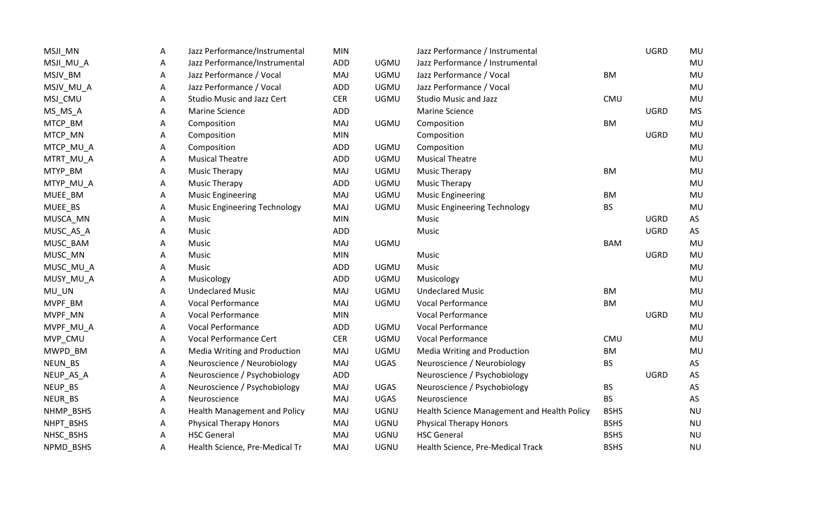| MSJI_MN   | A | Jazz Performance/Instrumental       | <b>MIN</b> |             | Jazz Performance / Instrumental             |             | <b>UGRD</b> | MU        |
|-----------|---|-------------------------------------|------------|-------------|---------------------------------------------|-------------|-------------|-----------|
| MSJI_MU_A | A | Jazz Performance/Instrumental       | ADD        | <b>UGMU</b> | Jazz Performance / Instrumental             |             |             | MU        |
| MSJV_BM   | Α | Jazz Performance / Vocal            | MAJ        | <b>UGMU</b> | Jazz Performance / Vocal                    | BM          |             | MU        |
| MSJV_MU_A | Α | Jazz Performance / Vocal            | ADD        | <b>UGMU</b> | Jazz Performance / Vocal                    |             |             | MU        |
| MSJ_CMU   | Α | <b>Studio Music and Jazz Cert</b>   | <b>CER</b> | <b>UGMU</b> | <b>Studio Music and Jazz</b>                | CMU         |             | MU        |
| MS_MS_A   | A | <b>Marine Science</b>               | ADD        |             | <b>Marine Science</b>                       |             | <b>UGRD</b> | <b>MS</b> |
| MTCP_BM   | А | Composition                         | MAJ        | <b>UGMU</b> | Composition                                 | BM          |             | MU        |
| MTCP_MN   | Α | Composition                         | <b>MIN</b> |             | Composition                                 |             | <b>UGRD</b> | MU        |
| MTCP_MU_A | A | Composition                         | <b>ADD</b> | <b>UGMU</b> | Composition                                 |             |             | <b>MU</b> |
| MTRT_MU_A | A | <b>Musical Theatre</b>              | ADD        | <b>UGMU</b> | <b>Musical Theatre</b>                      |             |             | MU        |
| MTYP_BM   | A | <b>Music Therapy</b>                | MAJ        | <b>UGMU</b> | <b>Music Therapy</b>                        | <b>BM</b>   |             | MU        |
| MTYP_MU_A | A | <b>Music Therapy</b>                | ADD        | <b>UGMU</b> | <b>Music Therapy</b>                        |             |             | MU        |
| MUEE_BM   | Α | <b>Music Engineering</b>            | MAJ        | <b>UGMU</b> | <b>Music Engineering</b>                    | <b>BM</b>   |             | MU        |
| MUEE_BS   | A | <b>Music Engineering Technology</b> | MAJ        | <b>UGMU</b> | <b>Music Engineering Technology</b>         | <b>BS</b>   |             | MU        |
| MUSCA_MN  | Α | Music                               | <b>MIN</b> |             | Music                                       |             | <b>UGRD</b> | AS        |
| MUSC_AS_A | A | Music                               | ADD        |             | Music                                       |             | <b>UGRD</b> | AS        |
| MUSC_BAM  | Α | Music                               | MAJ        | <b>UGMU</b> |                                             | <b>BAM</b>  |             | MU        |
| MUSC_MN   | Α | Music                               | <b>MIN</b> |             | Music                                       |             | <b>UGRD</b> | MU        |
| MUSC_MU_A | A | Music                               | ADD        | <b>UGMU</b> | Music                                       |             |             | MU        |
| MUSY_MU_A | A | Musicology                          | ADD        | <b>UGMU</b> | Musicology                                  |             |             | MU        |
| MU_UN     | A | <b>Undeclared Music</b>             | MAJ        | <b>UGMU</b> | <b>Undeclared Music</b>                     | <b>BM</b>   |             | MU        |
| MVPF_BM   | A | <b>Vocal Performance</b>            | MAJ        | <b>UGMU</b> | <b>Vocal Performance</b>                    | <b>BM</b>   |             | MU        |
| MVPF_MN   | Α | <b>Vocal Performance</b>            | <b>MIN</b> |             | <b>Vocal Performance</b>                    |             | <b>UGRD</b> | MU        |
| MVPF_MU_A | Α | <b>Vocal Performance</b>            | ADD        | <b>UGMU</b> | <b>Vocal Performance</b>                    |             |             | MU        |
| MVP_CMU   | Α | Vocal Performance Cert              | <b>CER</b> | <b>UGMU</b> | <b>Vocal Performance</b>                    | CMU         |             | MU        |
| MWPD_BM   | Α | <b>Media Writing and Production</b> | MAJ        | <b>UGMU</b> | Media Writing and Production                | BM          |             | MU        |
| NEUN_BS   | Α | Neuroscience / Neurobiology         | MAJ        | <b>UGAS</b> | Neuroscience / Neurobiology                 | <b>BS</b>   |             | AS        |
| NEUP_AS_A | Α | Neuroscience / Psychobiology        | <b>ADD</b> |             | Neuroscience / Psychobiology                |             | <b>UGRD</b> | AS        |
| NEUP_BS   | Α | Neuroscience / Psychobiology        | MAJ        | <b>UGAS</b> | Neuroscience / Psychobiology                | <b>BS</b>   |             | AS        |
| NEUR_BS   | А | Neuroscience                        | MAJ        | UGAS        | Neuroscience                                | <b>BS</b>   |             | AS        |
| NHMP_BSHS | A | <b>Health Management and Policy</b> | MAJ        | <b>UGNU</b> | Health Science Management and Health Policy | <b>BSHS</b> |             | <b>NU</b> |
| NHPT_BSHS | A | <b>Physical Therapy Honors</b>      | MAJ        | <b>UGNU</b> | <b>Physical Therapy Honors</b>              | <b>BSHS</b> |             | <b>NU</b> |
| NHSC_BSHS | Α | <b>HSC</b> General                  | MAJ        | <b>UGNU</b> | <b>HSC General</b>                          | <b>BSHS</b> |             | <b>NU</b> |
| NPMD BSHS | A | Health Science, Pre-Medical Tr      | <b>MAJ</b> | <b>UGNU</b> | Health Science, Pre-Medical Track           | <b>BSHS</b> |             | <b>NU</b> |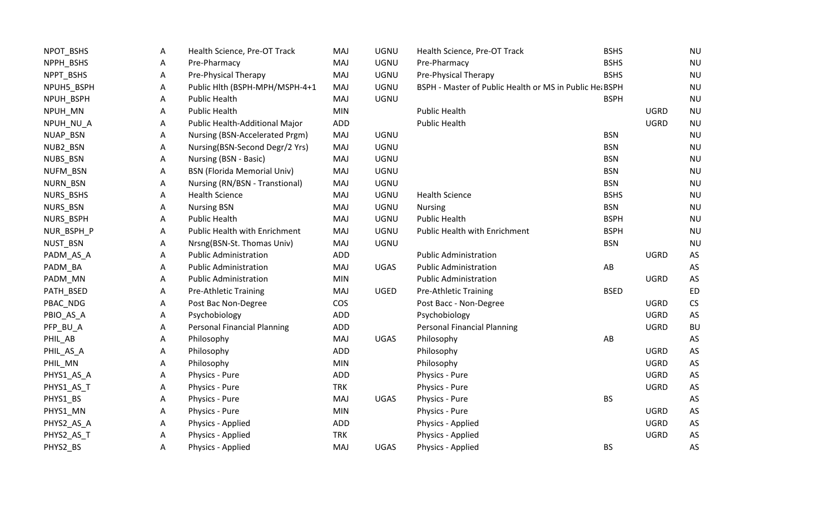| NPOT_BSHS  | A | Health Science, Pre-OT Track       | <b>MAJ</b> | <b>UGNU</b> | Health Science, Pre-OT Track                            | <b>BSHS</b> |             | <b>NU</b>            |
|------------|---|------------------------------------|------------|-------------|---------------------------------------------------------|-------------|-------------|----------------------|
| NPPH_BSHS  | Α | Pre-Pharmacy                       | <b>MAJ</b> | <b>UGNU</b> | Pre-Pharmacy                                            | <b>BSHS</b> |             | <b>NU</b>            |
| NPPT_BSHS  | Α | Pre-Physical Therapy               | MAJ        | <b>UGNU</b> | Pre-Physical Therapy                                    | <b>BSHS</b> |             | <b>NU</b>            |
| NPUH5_BSPH | Α | Public Hlth (BSPH-MPH/MSPH-4+1     | <b>MAJ</b> | <b>UGNU</b> | BSPH - Master of Public Health or MS in Public Het BSPH |             |             | <b>NU</b>            |
| NPUH_BSPH  | Α | <b>Public Health</b>               | MAJ        | <b>UGNU</b> |                                                         | <b>BSPH</b> |             | <b>NU</b>            |
| NPUH_MN    | Α | <b>Public Health</b>               | <b>MIN</b> |             | <b>Public Health</b>                                    |             | <b>UGRD</b> | <b>NU</b>            |
| NPUH_NU_A  | Α | Public Health-Additional Major     | <b>ADD</b> |             | <b>Public Health</b>                                    |             | <b>UGRD</b> | <b>NU</b>            |
| NUAP_BSN   | Α | Nursing (BSN-Accelerated Prgm)     | <b>MAJ</b> | <b>UGNU</b> |                                                         | <b>BSN</b>  |             | <b>NU</b>            |
| NUB2_BSN   | Α | Nursing(BSN-Second Degr/2 Yrs)     | MAJ        | <b>UGNU</b> |                                                         | <b>BSN</b>  |             | <b>NU</b>            |
| NUBS_BSN   | A | Nursing (BSN - Basic)              | MAJ        | <b>UGNU</b> |                                                         | <b>BSN</b>  |             | <b>NU</b>            |
| NUFM_BSN   | Α | <b>BSN (Florida Memorial Univ)</b> | MAJ        | <b>UGNU</b> |                                                         | <b>BSN</b>  |             | <b>NU</b>            |
| NURN_BSN   | Α | Nursing (RN/BSN - Transtional)     | MAJ        | <b>UGNU</b> |                                                         | <b>BSN</b>  |             | <b>NU</b>            |
| NURS_BSHS  | Α | <b>Health Science</b>              | MAJ        | <b>UGNU</b> | <b>Health Science</b>                                   | <b>BSHS</b> |             | <b>NU</b>            |
| NURS_BSN   | Α | <b>Nursing BSN</b>                 | MAJ        | <b>UGNU</b> | <b>Nursing</b>                                          | <b>BSN</b>  |             | <b>NU</b>            |
| NURS_BSPH  | Α | <b>Public Health</b>               | <b>MAJ</b> | <b>UGNU</b> | <b>Public Health</b>                                    | <b>BSPH</b> |             | <b>NU</b>            |
| NUR_BSPH_P | Α | Public Health with Enrichment      | <b>MAJ</b> | <b>UGNU</b> | Public Health with Enrichment                           | <b>BSPH</b> |             | <b>NU</b>            |
| NUST_BSN   | Α | Nrsng(BSN-St. Thomas Univ)         | <b>MAJ</b> | UGNU        |                                                         | <b>BSN</b>  |             | <b>NU</b>            |
| PADM_AS_A  | Α | <b>Public Administration</b>       | <b>ADD</b> |             | <b>Public Administration</b>                            |             | <b>UGRD</b> | AS                   |
| PADM_BA    | Α | <b>Public Administration</b>       | <b>MAJ</b> | <b>UGAS</b> | <b>Public Administration</b>                            | AB          |             | AS                   |
| PADM_MN    | A | <b>Public Administration</b>       | <b>MIN</b> |             | <b>Public Administration</b>                            |             | <b>UGRD</b> | AS                   |
| PATH_BSED  | Α | <b>Pre-Athletic Training</b>       | MAJ        | UGED        | <b>Pre-Athletic Training</b>                            | <b>BSED</b> |             | <b>ED</b>            |
| PBAC_NDG   | Α | Post Bac Non-Degree                | <b>COS</b> |             | Post Bacc - Non-Degree                                  |             | <b>UGRD</b> | CS                   |
| PBIO_AS_A  | Α | Psychobiology                      | <b>ADD</b> |             | Psychobiology                                           |             | <b>UGRD</b> | AS                   |
| PFP_BU_A   | А | <b>Personal Financial Planning</b> | ADD        |             | <b>Personal Financial Planning</b>                      |             | <b>UGRD</b> | <b>BU</b>            |
| PHIL_AB    | Α | Philosophy                         | MAJ        | <b>UGAS</b> | Philosophy                                              | AB          |             | AS                   |
| PHIL_AS_A  | Α | Philosophy                         | ADD        |             | Philosophy                                              |             | <b>UGRD</b> | AS                   |
| PHIL_MN    | Α | Philosophy                         | <b>MIN</b> |             | Philosophy                                              |             | <b>UGRD</b> | AS                   |
| PHYS1_AS_A | Α | Physics - Pure                     | <b>ADD</b> |             | Physics - Pure                                          |             | <b>UGRD</b> | AS                   |
| PHYS1_AS_T | A | Physics - Pure                     | <b>TRK</b> |             | Physics - Pure                                          |             | <b>UGRD</b> | AS                   |
| PHYS1_BS   | A | Physics - Pure                     | <b>MAJ</b> | UGAS        | Physics - Pure                                          | <b>BS</b>   |             | AS                   |
| PHYS1_MN   | A | Physics - Pure                     | <b>MIN</b> |             | Physics - Pure                                          |             | <b>UGRD</b> | $\mathsf{AS}\xspace$ |
| PHYS2_AS_A | Α | Physics - Applied                  | ADD        |             | Physics - Applied                                       |             | <b>UGRD</b> | AS                   |
| PHYS2_AS_T | Α | Physics - Applied                  | <b>TRK</b> |             | Physics - Applied                                       |             | <b>UGRD</b> | AS                   |
| PHYS2_BS   | Α | Physics - Applied                  | MAJ        | UGAS        | Physics - Applied                                       | <b>BS</b>   |             | AS                   |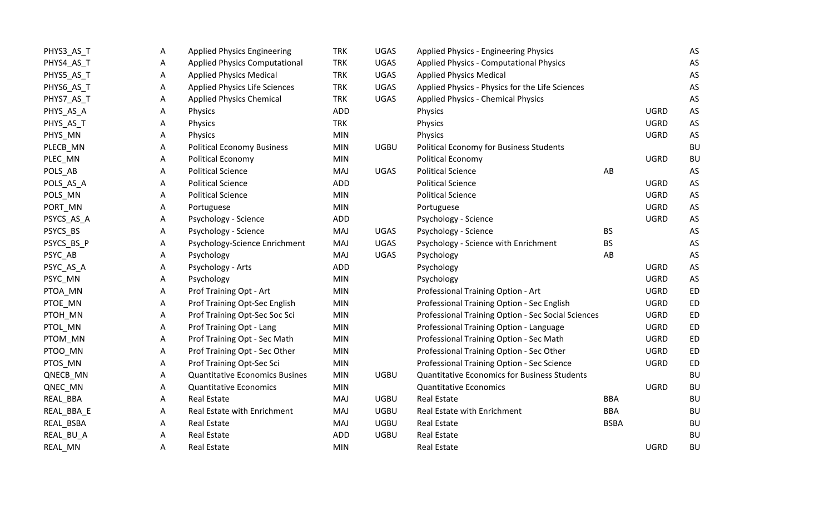| PHYS3_AS_T | A | <b>Applied Physics Engineering</b>    | <b>TRK</b> | UGAS        | Applied Physics - Engineering Physics               |             |             | AS        |
|------------|---|---------------------------------------|------------|-------------|-----------------------------------------------------|-------------|-------------|-----------|
| PHYS4_AS_T | А | <b>Applied Physics Computational</b>  | <b>TRK</b> | <b>UGAS</b> | <b>Applied Physics - Computational Physics</b>      |             |             | AS        |
| PHYS5_AS_T | Α | <b>Applied Physics Medical</b>        | <b>TRK</b> | UGAS        | <b>Applied Physics Medical</b>                      |             |             | AS        |
| PHYS6_AS_T | Α | <b>Applied Physics Life Sciences</b>  | <b>TRK</b> | UGAS        | Applied Physics - Physics for the Life Sciences     |             |             | AS        |
| PHYS7_AS_T | Α | <b>Applied Physics Chemical</b>       | <b>TRK</b> | <b>UGAS</b> | <b>Applied Physics - Chemical Physics</b>           |             |             | AS        |
| PHYS_AS_A  | A | Physics                               | <b>ADD</b> |             | Physics                                             |             | <b>UGRD</b> | AS        |
| PHYS_AS_T  | Α | Physics                               | <b>TRK</b> |             | Physics                                             |             | <b>UGRD</b> | AS        |
| PHYS_MN    | Α | Physics                               | <b>MIN</b> |             | Physics                                             |             | <b>UGRD</b> | AS        |
| PLECB_MN   | Α | <b>Political Economy Business</b>     | <b>MIN</b> | <b>UGBU</b> | Political Economy for Business Students             |             |             | <b>BU</b> |
| PLEC_MN    | A | Political Economy                     | <b>MIN</b> |             | <b>Political Economy</b>                            |             | <b>UGRD</b> | <b>BU</b> |
| POLS_AB    | Α | <b>Political Science</b>              | MAJ        | <b>UGAS</b> | <b>Political Science</b>                            | AB          |             | AS        |
| POLS_AS_A  | Α | <b>Political Science</b>              | <b>ADD</b> |             | <b>Political Science</b>                            |             | <b>UGRD</b> | AS        |
| POLS_MN    | Α | <b>Political Science</b>              | <b>MIN</b> |             | <b>Political Science</b>                            |             | <b>UGRD</b> | AS        |
| PORT_MN    | Α | Portuguese                            | <b>MIN</b> |             | Portuguese                                          |             | <b>UGRD</b> | AS        |
| PSYCS_AS_A | A | Psychology - Science                  | <b>ADD</b> |             | Psychology - Science                                |             | <b>UGRD</b> | AS        |
| PSYCS_BS   | Α | Psychology - Science                  | <b>MAJ</b> | UGAS        | Psychology - Science                                | <b>BS</b>   |             | AS        |
| PSYCS_BS_P | Α | Psychology-Science Enrichment         | MAJ        | <b>UGAS</b> | Psychology - Science with Enrichment                | <b>BS</b>   |             | AS        |
| PSYC_AB    | Α | Psychology                            | <b>MAJ</b> | <b>UGAS</b> | Psychology                                          | AB          |             | AS        |
| PSYC_AS_A  | A | Psychology - Arts                     | ADD        |             | Psychology                                          |             | <b>UGRD</b> | AS        |
| PSYC_MN    | Α | Psychology                            | <b>MIN</b> |             | Psychology                                          |             | <b>UGRD</b> | AS        |
| PTOA_MN    | Α | Prof Training Opt - Art               | <b>MIN</b> |             | Professional Training Option - Art                  |             | <b>UGRD</b> | <b>ED</b> |
| PTOE_MN    | Α | Prof Training Opt-Sec English         | <b>MIN</b> |             | Professional Training Option - Sec English          |             | <b>UGRD</b> | ED        |
| PTOH_MN    | Α | Prof Training Opt-Sec Soc Sci         | <b>MIN</b> |             | Professional Training Option - Sec Social Sciences  |             | <b>UGRD</b> | <b>ED</b> |
| PTOL_MN    | Α | Prof Training Opt - Lang              | <b>MIN</b> |             | Professional Training Option - Language             |             | <b>UGRD</b> | ED        |
| PTOM_MN    | А | Prof Training Opt - Sec Math          | <b>MIN</b> |             | Professional Training Option - Sec Math             |             | <b>UGRD</b> | ED        |
| PTOO_MN    | Α | Prof Training Opt - Sec Other         | <b>MIN</b> |             | Professional Training Option - Sec Other            |             | <b>UGRD</b> | ED        |
| PTOS_MN    | Α | Prof Training Opt-Sec Sci             | <b>MIN</b> |             | Professional Training Option - Sec Science          |             | <b>UGRD</b> | ED        |
| QNECB_MN   | Α | <b>Quantitative Economics Busines</b> | <b>MIN</b> | <b>UGBU</b> | <b>Quantitative Economics for Business Students</b> |             |             | <b>BU</b> |
| QNEC_MN    | Α | <b>Quantitative Economics</b>         | <b>MIN</b> |             | <b>Quantitative Economics</b>                       |             | <b>UGRD</b> | <b>BU</b> |
| REAL_BBA   | A | <b>Real Estate</b>                    | MAJ        | <b>UGBU</b> | <b>Real Estate</b>                                  | <b>BBA</b>  |             | BU        |
| REAL_BBA_E | Α | Real Estate with Enrichment           | <b>MAJ</b> | <b>UGBU</b> | Real Estate with Enrichment                         | <b>BBA</b>  |             | <b>BU</b> |
| REAL_BSBA  | Α | <b>Real Estate</b>                    | MAJ        | <b>UGBU</b> | <b>Real Estate</b>                                  | <b>BSBA</b> |             | <b>BU</b> |
| REAL_BU_A  | A | <b>Real Estate</b>                    | ADD        | <b>UGBU</b> | Real Estate                                         |             |             | <b>BU</b> |
| REAL MN    | Α | <b>Real Estate</b>                    | <b>MIN</b> |             | <b>Real Estate</b>                                  |             | <b>UGRD</b> | <b>BU</b> |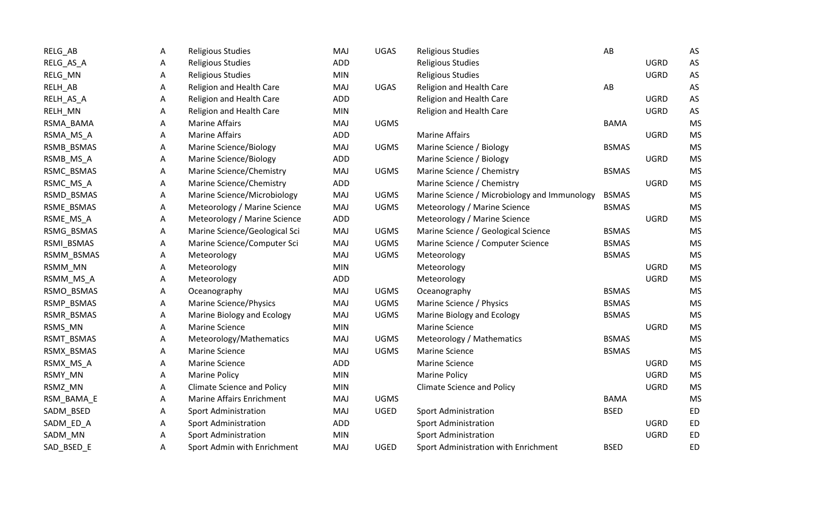| RELG_AB    | A | <b>Religious Studies</b>          | MAJ        | <b>UGAS</b> | <b>Religious Studies</b>                     | AB           |             | AS        |
|------------|---|-----------------------------------|------------|-------------|----------------------------------------------|--------------|-------------|-----------|
| RELG_AS_A  | A | <b>Religious Studies</b>          | <b>ADD</b> |             | <b>Religious Studies</b>                     |              | <b>UGRD</b> | AS        |
| RELG_MN    | А | <b>Religious Studies</b>          | <b>MIN</b> |             | <b>Religious Studies</b>                     |              | <b>UGRD</b> | AS        |
| RELH_AB    | Α | Religion and Health Care          | <b>MAJ</b> | <b>UGAS</b> | Religion and Health Care                     | AB           |             | AS        |
| RELH_AS_A  | A | Religion and Health Care          | <b>ADD</b> |             | Religion and Health Care                     |              | <b>UGRD</b> | AS        |
| RELH_MN    | А | Religion and Health Care          | <b>MIN</b> |             | Religion and Health Care                     |              | <b>UGRD</b> | AS        |
| RSMA_BAMA  | А | <b>Marine Affairs</b>             | MAJ        | <b>UGMS</b> |                                              | <b>BAMA</b>  |             | <b>MS</b> |
| RSMA_MS_A  | Α | <b>Marine Affairs</b>             | ADD        |             | <b>Marine Affairs</b>                        |              | <b>UGRD</b> | <b>MS</b> |
| RSMB_BSMAS | Α | Marine Science/Biology            | MAJ        | <b>UGMS</b> | Marine Science / Biology                     | <b>BSMAS</b> |             | <b>MS</b> |
| RSMB_MS_A  | А | Marine Science/Biology            | ADD        |             | Marine Science / Biology                     |              | <b>UGRD</b> | <b>MS</b> |
| RSMC_BSMAS | Α | Marine Science/Chemistry          | MAJ        | <b>UGMS</b> | Marine Science / Chemistry                   | <b>BSMAS</b> |             | <b>MS</b> |
| RSMC_MS_A  | А | Marine Science/Chemistry          | ADD        |             | Marine Science / Chemistry                   |              | <b>UGRD</b> | <b>MS</b> |
| RSMD_BSMAS | Α | Marine Science/Microbiology       | <b>MAJ</b> | <b>UGMS</b> | Marine Science / Microbiology and Immunology | <b>BSMAS</b> |             | <b>MS</b> |
| RSME_BSMAS | Α | Meteorology / Marine Science      | <b>MAJ</b> | <b>UGMS</b> | Meteorology / Marine Science                 | <b>BSMAS</b> |             | <b>MS</b> |
| RSME_MS_A  | Α | Meteorology / Marine Science      | ADD        |             | Meteorology / Marine Science                 |              | <b>UGRD</b> | <b>MS</b> |
| RSMG_BSMAS | А | Marine Science/Geological Sci     | MAJ        | UGMS        | Marine Science / Geological Science          | <b>BSMAS</b> |             | <b>MS</b> |
| RSMI_BSMAS | Α | Marine Science/Computer Sci       | <b>MAJ</b> | <b>UGMS</b> | Marine Science / Computer Science            | <b>BSMAS</b> |             | <b>MS</b> |
| RSMM_BSMAS | Α | Meteorology                       | MAJ        | <b>UGMS</b> | Meteorology                                  | <b>BSMAS</b> |             | <b>MS</b> |
| RSMM_MN    | Α | Meteorology                       | <b>MIN</b> |             | Meteorology                                  |              | <b>UGRD</b> | <b>MS</b> |
| RSMM_MS_A  | A | Meteorology                       | <b>ADD</b> |             | Meteorology                                  |              | <b>UGRD</b> | <b>MS</b> |
| RSMO_BSMAS | A | Oceanography                      | MAJ        | <b>UGMS</b> | Oceanography                                 | <b>BSMAS</b> |             | <b>MS</b> |
| RSMP_BSMAS | A | <b>Marine Science/Physics</b>     | MAJ        | <b>UGMS</b> | Marine Science / Physics                     | <b>BSMAS</b> |             | <b>MS</b> |
| RSMR_BSMAS | Α | Marine Biology and Ecology        | <b>MAJ</b> | <b>UGMS</b> | Marine Biology and Ecology                   | <b>BSMAS</b> |             | <b>MS</b> |
| RSMS_MN    | Α | <b>Marine Science</b>             | <b>MIN</b> |             | <b>Marine Science</b>                        |              | <b>UGRD</b> | <b>MS</b> |
| RSMT_BSMAS | А | Meteorology/Mathematics           | <b>MAJ</b> | <b>UGMS</b> | Meteorology / Mathematics                    | <b>BSMAS</b> |             | <b>MS</b> |
| RSMX_BSMAS | A | <b>Marine Science</b>             | MAJ        | <b>UGMS</b> | Marine Science                               | <b>BSMAS</b> |             | <b>MS</b> |
| RSMX_MS_A  | А | <b>Marine Science</b>             | ADD        |             | <b>Marine Science</b>                        |              | <b>UGRD</b> | <b>MS</b> |
| RSMY_MN    | Α | <b>Marine Policy</b>              | <b>MIN</b> |             | <b>Marine Policy</b>                         |              | <b>UGRD</b> | <b>MS</b> |
| RSMZ_MN    | Α | <b>Climate Science and Policy</b> | <b>MIN</b> |             | <b>Climate Science and Policy</b>            |              | <b>UGRD</b> | <b>MS</b> |
| RSM_BAMA_E | Α | Marine Affairs Enrichment         | <b>MAJ</b> | <b>UGMS</b> |                                              | <b>BAMA</b>  |             | <b>MS</b> |
| SADM_BSED  | A | Sport Administration              | MAJ        | <b>UGED</b> | <b>Sport Administration</b>                  | <b>BSED</b>  |             | <b>ED</b> |
| SADM_ED_A  | A | <b>Sport Administration</b>       | <b>ADD</b> |             | <b>Sport Administration</b>                  |              | <b>UGRD</b> | <b>ED</b> |
| SADM_MN    | Α | <b>Sport Administration</b>       | <b>MIN</b> |             | <b>Sport Administration</b>                  |              | <b>UGRD</b> | <b>ED</b> |
| SAD_BSED_E | Α | Sport Admin with Enrichment       | MAJ        | <b>UGED</b> | Sport Administration with Enrichment         | <b>BSED</b>  |             | <b>ED</b> |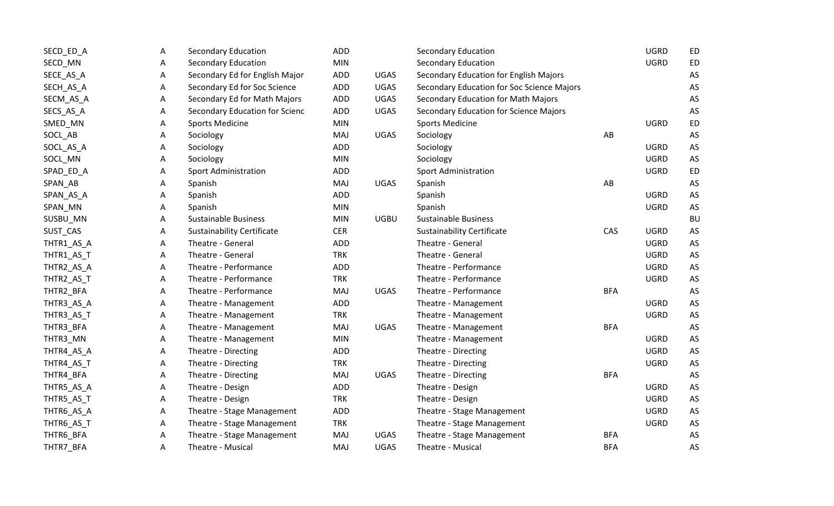| SECD_ED_A  | A | <b>Secondary Education</b>        | ADD        |             | <b>Secondary Education</b>                 |            | <b>UGRD</b> | <b>ED</b> |
|------------|---|-----------------------------------|------------|-------------|--------------------------------------------|------------|-------------|-----------|
| SECD_MN    | A | <b>Secondary Education</b>        | <b>MIN</b> |             | <b>Secondary Education</b>                 |            | <b>UGRD</b> | ED        |
| SECE_AS_A  | Α | Secondary Ed for English Major    | ADD        | <b>UGAS</b> | Secondary Education for English Majors     |            |             | AS        |
| SECH_AS_A  | A | Secondary Ed for Soc Science      | <b>ADD</b> | <b>UGAS</b> | Secondary Education for Soc Science Majors |            |             | AS        |
| SECM_AS_A  | А | Secondary Ed for Math Majors      | <b>ADD</b> | <b>UGAS</b> | Secondary Education for Math Majors        |            |             | AS        |
| SECS_AS_A  | Α | Secondary Education for Scienc    | <b>ADD</b> | <b>UGAS</b> | Secondary Education for Science Majors     |            |             | AS        |
| SMED_MN    | A | <b>Sports Medicine</b>            | <b>MIN</b> |             | <b>Sports Medicine</b>                     |            | <b>UGRD</b> | ED        |
| SOCL_AB    | Α | Sociology                         | MAJ        | <b>UGAS</b> | Sociology                                  | AB         |             | AS        |
| SOCL_AS_A  | A | Sociology                         | <b>ADD</b> |             | Sociology                                  |            | <b>UGRD</b> | AS        |
| SOCL_MN    | A | Sociology                         | <b>MIN</b> |             | Sociology                                  |            | <b>UGRD</b> | AS        |
| SPAD_ED_A  | A | <b>Sport Administration</b>       | <b>ADD</b> |             | <b>Sport Administration</b>                |            | <b>UGRD</b> | <b>ED</b> |
| SPAN_AB    | Α | Spanish                           | MAJ        | <b>UGAS</b> | Spanish                                    | AB         |             | AS        |
| SPAN_AS_A  | А | Spanish                           | <b>ADD</b> |             | Spanish                                    |            | <b>UGRD</b> | AS        |
| SPAN_MN    | А | Spanish                           | <b>MIN</b> |             | Spanish                                    |            | <b>UGRD</b> | AS        |
| SUSBU_MN   | А | <b>Sustainable Business</b>       | <b>MIN</b> | <b>UGBU</b> | <b>Sustainable Business</b>                |            |             | BU        |
| SUST_CAS   | Α | <b>Sustainability Certificate</b> | <b>CER</b> |             | <b>Sustainability Certificate</b>          | CAS        | <b>UGRD</b> | AS        |
| THTR1_AS_A | А | Theatre - General                 | <b>ADD</b> |             | Theatre - General                          |            | <b>UGRD</b> | AS        |
| THTR1_AS_T | Α | Theatre - General                 | <b>TRK</b> |             | Theatre - General                          |            | <b>UGRD</b> | AS        |
| THTR2_AS_A | Α | Theatre - Performance             | <b>ADD</b> |             | Theatre - Performance                      |            | <b>UGRD</b> | AS        |
| THTR2_AS_T | A | Theatre - Performance             | <b>TRK</b> |             | Theatre - Performance                      |            | <b>UGRD</b> | AS        |
| THTR2_BFA  | A | Theatre - Performance             | MAJ        | <b>UGAS</b> | Theatre - Performance                      | <b>BFA</b> |             | AS        |
| THTR3_AS_A | A | Theatre - Management              | <b>ADD</b> |             | Theatre - Management                       |            | <b>UGRD</b> | AS        |
| THTR3_AS_T | Α | Theatre - Management              | <b>TRK</b> |             | Theatre - Management                       |            | <b>UGRD</b> | AS        |
| THTR3_BFA  | Α | Theatre - Management              | MAJ        | <b>UGAS</b> | Theatre - Management                       | <b>BFA</b> |             | AS        |
| THTR3_MN   | A | Theatre - Management              | <b>MIN</b> |             | Theatre - Management                       |            | <b>UGRD</b> | AS        |
| THTR4_AS_A | A | Theatre - Directing               | <b>ADD</b> |             | Theatre - Directing                        |            | <b>UGRD</b> | AS        |
| THTR4_AS_T | A | Theatre - Directing               | <b>TRK</b> |             | Theatre - Directing                        |            | <b>UGRD</b> | AS        |
| THTR4_BFA  | A | Theatre - Directing               | MAJ        | <b>UGAS</b> | Theatre - Directing                        | <b>BFA</b> |             | AS        |
| THTR5_AS_A | Α | Theatre - Design                  | <b>ADD</b> |             | Theatre - Design                           |            | <b>UGRD</b> | AS        |
| THTR5_AS_T | A | Theatre - Design                  | <b>TRK</b> |             | Theatre - Design                           |            | <b>UGRD</b> | AS        |
| THTR6_AS_A | A | Theatre - Stage Management        | <b>ADD</b> |             | Theatre - Stage Management                 |            | <b>UGRD</b> | AS        |
| THTR6_AS_T | Α | Theatre - Stage Management        | <b>TRK</b> |             | Theatre - Stage Management                 |            | <b>UGRD</b> | AS        |
| THTR6_BFA  | Α | Theatre - Stage Management        | MAJ        | <b>UGAS</b> | Theatre - Stage Management                 | <b>BFA</b> |             | AS        |
| THTR7 BFA  | Α | Theatre - Musical                 | MAJ        | <b>UGAS</b> | Theatre - Musical                          | <b>BFA</b> |             | AS        |